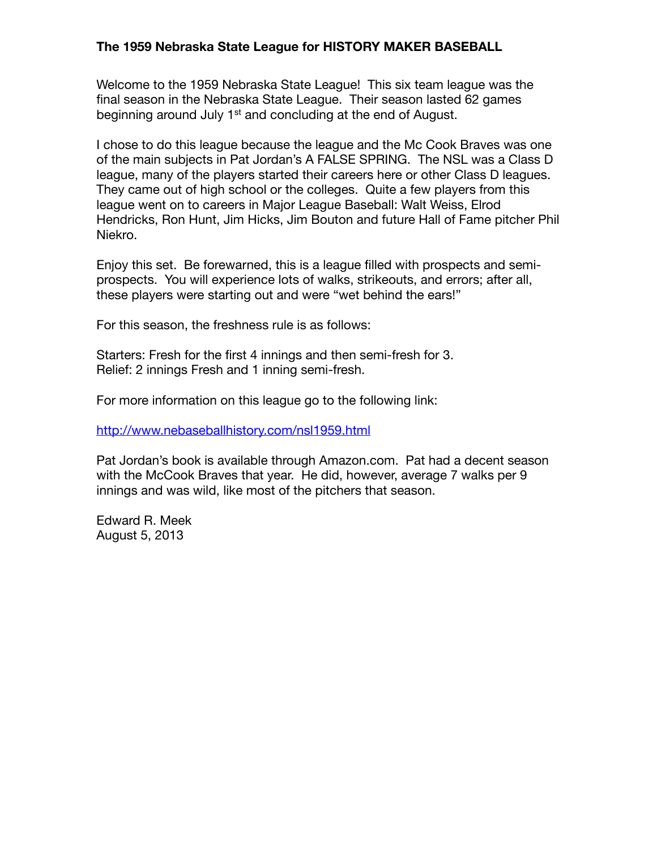## **The 1959 Nebraska State League for HISTORY MAKER BASEBALL**

Welcome to the 1959 Nebraska State League! This six team league was the final season in the Nebraska State League. Their season lasted 62 games beginning around July 1<sup>st</sup> and concluding at the end of August.

I chose to do this league because the league and the Mc Cook Braves was one of the main subjects in Pat Jordan's A FALSE SPRING. The NSL was a Class D league, many of the players started their careers here or other Class D leagues. They came out of high school or the colleges. Quite a few players from this league went on to careers in Major League Baseball: Walt Weiss, Elrod Hendricks, Ron Hunt, Jim Hicks, Jim Bouton and future Hall of Fame pitcher Phil Niekro.

Enjoy this set. Be forewarned, this is a league filled with prospects and semiprospects. You will experience lots of walks, strikeouts, and errors; after all, these players were starting out and were "wet behind the ears!"

For this season, the freshness rule is as follows:

Starters: Fresh for the first 4 innings and then semi-fresh for 3. Relief: 2 innings Fresh and 1 inning semi-fresh.

For more information on this league go to the following link:

<http://www.nebaseballhistory.com/nsl1959.html>

Pat Jordan's book is available through Amazon.com. Pat had a decent season with the McCook Braves that year. He did, however, average 7 walks per 9 innings and was wild, like most of the pitchers that season.

Edward R. Meek August 5, 2013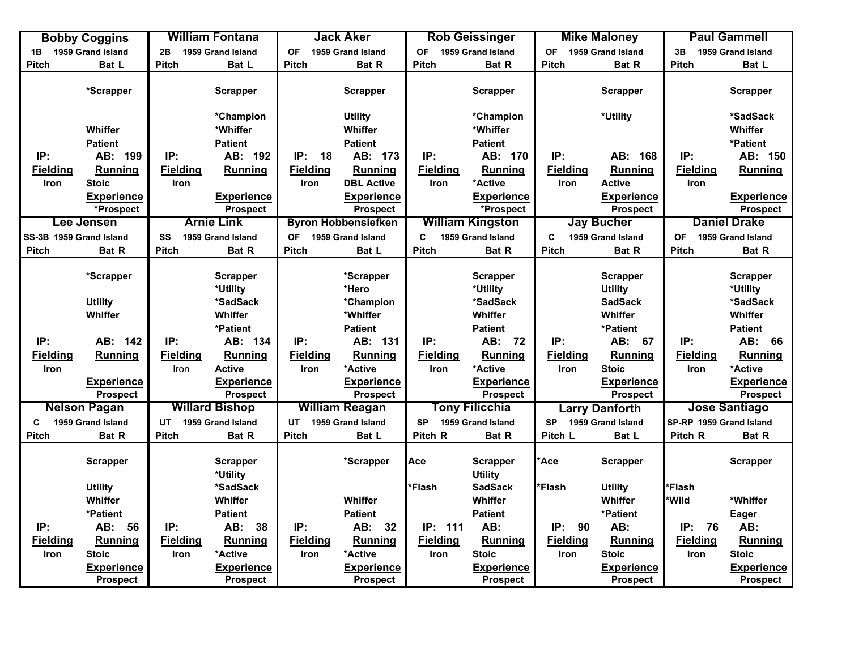|                         | <b>Bobby Coggins</b>                 |                 | <b>William Fontana</b>               |                 | <b>Jack Aker</b>                     |                 | <b>Rob Geissinger</b>                |                 | <b>Mike Maloney</b>                  |                         | <b>Paul Gammell</b>                  |
|-------------------------|--------------------------------------|-----------------|--------------------------------------|-----------------|--------------------------------------|-----------------|--------------------------------------|-----------------|--------------------------------------|-------------------------|--------------------------------------|
| 1B                      | 1959 Grand Island                    | 2B              | 1959 Grand Island                    | <b>OF</b>       | 1959 Grand Island                    | <b>OF</b>       | 1959 Grand Island                    | <b>OF</b>       | 1959 Grand Island                    | 3B                      | 1959 Grand Island                    |
| <b>Pitch</b>            | Bat L                                | Pitch           | Bat L                                | <b>Pitch</b>    | Bat R                                | <b>Pitch</b>    | Bat R                                | <b>Pitch</b>    | <b>Bat R</b>                         | <b>Pitch</b>            | Bat L                                |
|                         | *Scrapper                            |                 | <b>Scrapper</b>                      |                 | <b>Scrapper</b>                      |                 | <b>Scrapper</b>                      |                 | <b>Scrapper</b>                      |                         | <b>Scrapper</b>                      |
|                         |                                      |                 | *Champion                            |                 | <b>Utility</b>                       |                 | *Champion                            |                 | *Utility                             |                         | *SadSack                             |
|                         | <b>Whiffer</b>                       |                 | *Whiffer                             |                 | Whiffer                              |                 | *Whiffer                             |                 |                                      |                         | <b>Whiffer</b>                       |
|                         | <b>Patient</b>                       |                 | <b>Patient</b>                       |                 | <b>Patient</b>                       |                 | <b>Patient</b>                       |                 |                                      |                         | *Patient                             |
| IP:                     | AB: 199                              | IP:             | AB: 192                              | IP:<br>18       | AB: 173                              | IP:             | AB: 170                              | IP:             | AB: 168                              | IP:                     | AB: 150                              |
| <b>Fielding</b>         | <b>Running</b>                       | <b>Fielding</b> | Running                              | <b>Fielding</b> | Running                              | <b>Fielding</b> | Running                              | <b>Fielding</b> | <b>Running</b>                       | <b>Fielding</b>         | <b>Running</b>                       |
| Iron                    | <b>Stoic</b>                         | Iron            |                                      | Iron            | <b>DBL Active</b>                    | Iron            | *Active                              | Iron            | <b>Active</b>                        | Iron                    |                                      |
|                         | Experience                           |                 | <b>Experience</b>                    |                 | <b>Experience</b>                    |                 | <b>Experience</b>                    |                 | <b>Experience</b>                    |                         | <b>Experience</b>                    |
|                         | *Prospect                            |                 | <b>Prospect</b>                      |                 | <b>Prospect</b>                      |                 | *Prospect                            |                 | <b>Prospect</b>                      |                         | <b>Prospect</b>                      |
|                         | Lee Jensen                           |                 | <b>Arnie Link</b>                    |                 | <b>Byron Hobbensiefken</b>           |                 | <b>William Kingston</b>              |                 | <b>Jay Bucher</b>                    |                         | <b>Daniel Drake</b>                  |
| SS-3B 1959 Grand Island |                                      | SS              | 1959 Grand Island                    | OF              | 1959 Grand Island                    | C.              | 1959 Grand Island                    | C               | 1959 Grand Island                    | <b>OF</b>               | 1959 Grand Island                    |
| <b>Pitch</b>            | Bat R                                | <b>Pitch</b>    | Bat R                                | <b>Pitch</b>    | Bat L                                | <b>Pitch</b>    | Bat R                                | <b>Pitch</b>    | Bat R                                | Pitch                   | Bat R                                |
|                         | *Scrapper                            |                 | <b>Scrapper</b><br>*Utility          |                 | *Scrapper<br>*Hero                   |                 | Scrapper<br>*Utility                 |                 | <b>Scrapper</b><br><b>Utility</b>    |                         | <b>Scrapper</b><br>*Utility          |
|                         | <b>Utility</b>                       |                 | *SadSack                             |                 | *Champion                            |                 | *SadSack                             |                 | <b>SadSack</b>                       |                         | *SadSack                             |
|                         | Whiffer                              |                 | Whiffer                              |                 | *Whiffer                             |                 | Whiffer                              |                 | Whiffer                              |                         | Whiffer                              |
|                         |                                      |                 | *Patient                             |                 | <b>Patient</b>                       |                 | <b>Patient</b>                       |                 | *Patient                             |                         | <b>Patient</b>                       |
| IP:                     | AB: 142                              | IP:             | AB: 134                              | IP:             | AB: 131                              | IP:             | AB: 72                               | IP:             | AB: 67                               | IP:                     | AB: 66                               |
| <b>Fielding</b>         | <b>Running</b>                       | <b>Fielding</b> | Running                              | <b>Fielding</b> | Running                              | <b>Fielding</b> | Running                              | <b>Fielding</b> | <b>Running</b>                       | <b>Fielding</b>         | Running                              |
| <b>Iron</b>             |                                      | Iron            | <b>Active</b>                        | Iron            | *Active                              | <b>Iron</b>     | *Active                              | Iron            | <b>Stoic</b>                         | Iron                    | *Active                              |
|                         | <b>Experience</b><br><b>Prospect</b> |                 | <b>Experience</b><br><b>Prospect</b> |                 | <b>Experience</b><br><b>Prospect</b> |                 | <b>Experience</b><br><b>Prospect</b> |                 | <b>Experience</b><br><b>Prospect</b> |                         | <b>Experience</b><br><b>Prospect</b> |
|                         | <b>Nelson Pagan</b>                  |                 | <b>Willard Bishop</b>                |                 | <b>William Reagan</b>                |                 | <b>Tony Filicchia</b>                |                 | <b>Larry Danforth</b>                |                         | <b>Jose Santiago</b>                 |
| C                       | 1959 Grand Island                    | <b>UT</b>       | 1959 Grand Island                    | UT              | 1959 Grand Island                    | <b>SP</b>       | 1959 Grand Island                    | <b>SP</b>       | 1959 Grand Island                    | SP-RP 1959 Grand Island |                                      |
| Pitch                   | Bat R                                | <b>Pitch</b>    | Bat R                                | <b>Pitch</b>    | Bat L                                | Pitch R         | Bat R                                | Pitch L         | Bat L                                | Pitch R                 | Bat R                                |
|                         | <b>Scrapper</b>                      |                 | <b>Scrapper</b><br>*Utility          |                 | *Scrapper                            | Ace             | <b>Scrapper</b><br><b>Utility</b>    | *Ace            | <b>Scrapper</b>                      |                         | <b>Scrapper</b>                      |
|                         | <b>Utility</b>                       |                 | *SadSack                             |                 |                                      | *Flash          | <b>SadSack</b>                       | *Flash          | <b>Utility</b>                       | <b>Flash</b>            |                                      |
|                         | <b>Whiffer</b>                       |                 | Whiffer                              |                 | Whiffer                              |                 | Whiffer                              |                 | <b>Whiffer</b>                       | *Wild                   | *Whiffer                             |
|                         | *Patient                             |                 | <b>Patient</b>                       |                 | <b>Patient</b>                       |                 | <b>Patient</b>                       |                 | *Patient                             |                         | <b>Eager</b>                         |
| IP:                     | AB: 56                               | IP:             | AB:<br>38                            | IP:             | AB: 32                               | IP: 111         | AB:                                  | IP:<br>90       | AB:                                  | IP:<br>76               | AB:                                  |
| <b>Fielding</b>         | Running                              | <b>Fielding</b> | <b>Running</b>                       | <b>Fielding</b> | Running                              | <b>Fielding</b> | Running                              | <b>Fielding</b> | Running                              | <b>Fielding</b>         | Running                              |
| Iron                    | <b>Stoic</b>                         | Iron            | *Active                              | Iron            | *Active                              | Iron            | <b>Stoic</b>                         | Iron            | <b>Stoic</b>                         | Iron                    | <b>Stoic</b>                         |
|                         | <b>Experience</b><br><b>Prospect</b> |                 | <b>Experience</b><br><b>Prospect</b> |                 | <b>Experience</b><br><b>Prospect</b> |                 | <b>Experience</b><br><b>Prospect</b> |                 | <b>Experience</b><br><b>Prospect</b> |                         | <b>Experience</b><br><b>Prospect</b> |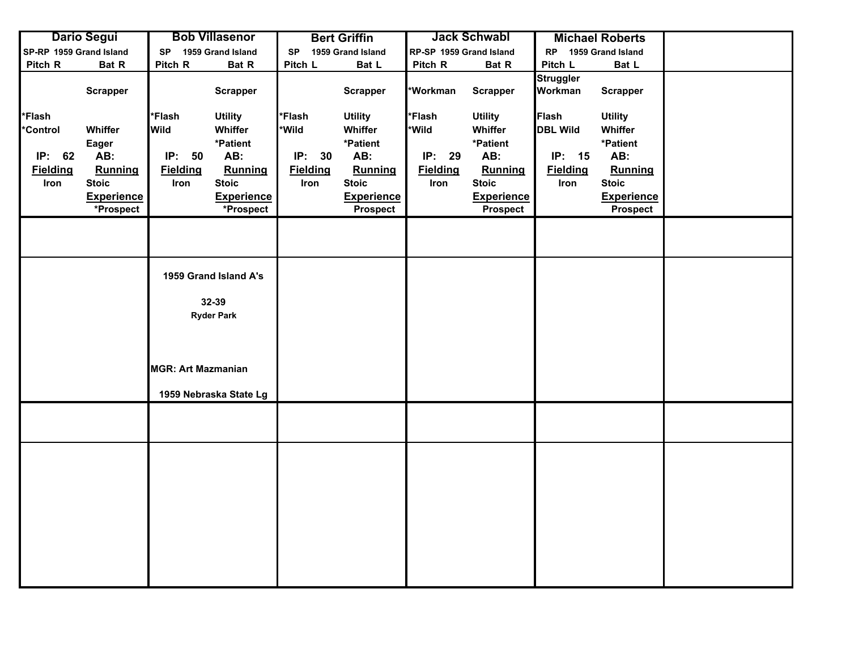|                                                               | <b>Dario Segui</b>                                                                   |                                                        | <b>Bob Villasenor</b>                                                                                     |                                                               | <b>Bert Griffin</b>                                                                                      |                                                      | <b>Jack Schwabl</b>                                                                                      |                                                                      | <b>Michael Roberts</b>                                                                                          |  |
|---------------------------------------------------------------|--------------------------------------------------------------------------------------|--------------------------------------------------------|-----------------------------------------------------------------------------------------------------------|---------------------------------------------------------------|----------------------------------------------------------------------------------------------------------|------------------------------------------------------|----------------------------------------------------------------------------------------------------------|----------------------------------------------------------------------|-----------------------------------------------------------------------------------------------------------------|--|
| SP-RP 1959 Grand Island                                       |                                                                                      | <b>SP</b>                                              | 1959 Grand Island                                                                                         | <b>SP</b>                                                     | 1959 Grand Island                                                                                        | RP-SP 1959 Grand Island                              |                                                                                                          | <b>RP</b>                                                            | 1959 Grand Island                                                                                               |  |
| Pitch R                                                       | Bat R                                                                                | Pitch R                                                | Bat R                                                                                                     | Pitch L                                                       | Bat L                                                                                                    | Pitch R                                              | Bat R                                                                                                    | Pitch L                                                              | Bat L                                                                                                           |  |
|                                                               | <b>Scrapper</b>                                                                      |                                                        | <b>Scrapper</b>                                                                                           |                                                               | <b>Scrapper</b>                                                                                          | *Workman                                             | <b>Scrapper</b>                                                                                          | Struggler<br>Workman                                                 | <b>Scrapper</b>                                                                                                 |  |
| *Flash<br><b>Control</b><br>IP: 62<br><b>Fielding</b><br>Iron | Whiffer<br>Eager<br>AB:<br>Running<br><b>Stoic</b><br><b>Experience</b><br>*Prospect | *Flash<br>Wild<br>IP:<br>50<br><b>Fielding</b><br>Iron | <b>Utility</b><br>Whiffer<br>*Patient<br>AB:<br>Running<br><b>Stoic</b><br><b>Experience</b><br>*Prospect | <b>Flash</b><br>*Wild<br>IP:<br>30<br><b>Fielding</b><br>Iron | <b>Utility</b><br>Whiffer<br>*Patient<br>AB:<br>Running<br><b>Stoic</b><br><b>Experience</b><br>Prospect | *Flash<br>*Wild<br>IP: 29<br><b>Fielding</b><br>Iron | <b>Utility</b><br>Whiffer<br>*Patient<br>AB:<br>Running<br><b>Stoic</b><br><b>Experience</b><br>Prospect | <b>Flash</b><br><b>DBL Wild</b><br>IP: 15<br><b>Fielding</b><br>Iron | <b>Utility</b><br>Whiffer<br>*Patient<br>AB:<br>Running<br><b>Stoic</b><br><b>Experience</b><br><b>Prospect</b> |  |
|                                                               |                                                                                      |                                                        |                                                                                                           |                                                               |                                                                                                          |                                                      |                                                                                                          |                                                                      |                                                                                                                 |  |
|                                                               |                                                                                      | <b>MGR: Art Mazmanian</b>                              | 1959 Grand Island A's<br>32-39<br><b>Ryder Park</b><br>1959 Nebraska State Lg                             |                                                               |                                                                                                          |                                                      |                                                                                                          |                                                                      |                                                                                                                 |  |
|                                                               |                                                                                      |                                                        |                                                                                                           |                                                               |                                                                                                          |                                                      |                                                                                                          |                                                                      |                                                                                                                 |  |
|                                                               |                                                                                      |                                                        |                                                                                                           |                                                               |                                                                                                          |                                                      |                                                                                                          |                                                                      |                                                                                                                 |  |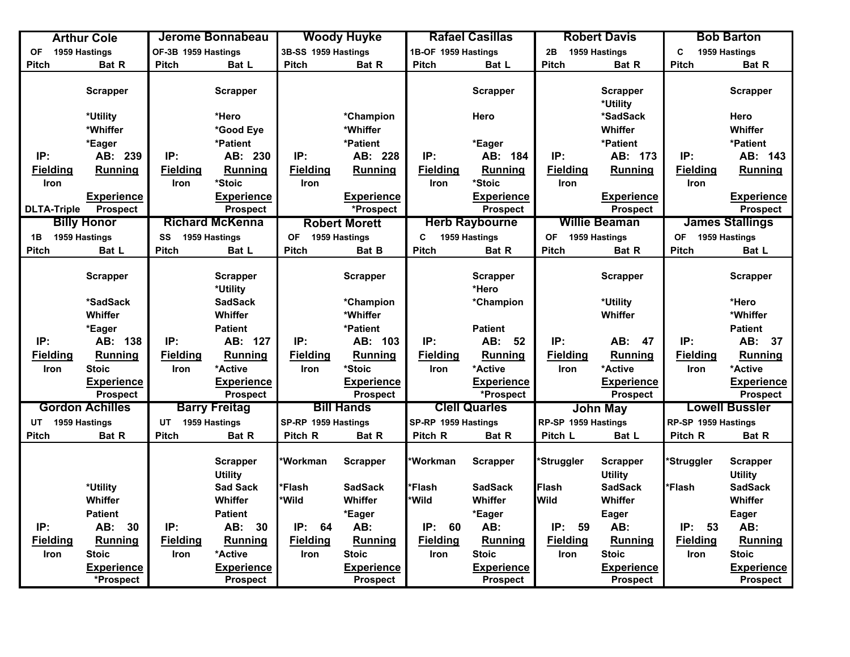|                    | <b>Arthur Cole</b>     |                     | Jerome Bonnabeau                  |                     | <b>Woody Huyke</b>   |                     | <b>Rafael Casillas</b>   |                     | <b>Robert Davis</b>               |                     | <b>Bob Barton</b>                 |
|--------------------|------------------------|---------------------|-----------------------------------|---------------------|----------------------|---------------------|--------------------------|---------------------|-----------------------------------|---------------------|-----------------------------------|
| <b>OF</b>          | 1959 Hastings          | OF-3B 1959 Hastings |                                   | 3B-SS 1959 Hastings |                      | 1B-OF 1959 Hastings |                          | 2B                  | 1959 Hastings                     | C.                  | 1959 Hastings                     |
| <b>Pitch</b>       | Bat R                  | <b>Pitch</b>        | Bat L                             | <b>Pitch</b>        | <b>Bat R</b>         | <b>Pitch</b>        | Bat L                    | <b>Pitch</b>        | Bat R                             | Pitch               | <b>Bat R</b>                      |
|                    | <b>Scrapper</b>        |                     | <b>Scrapper</b>                   |                     |                      |                     | <b>Scrapper</b>          |                     | <b>Scrapper</b>                   |                     | <b>Scrapper</b>                   |
|                    | *Utility               |                     | *Hero                             |                     | *Champion            |                     | Hero                     |                     | *Utility<br>*SadSack              |                     | Hero                              |
|                    | *Whiffer               |                     | *Good Eye                         |                     | *Whiffer             |                     |                          |                     | Whiffer                           |                     | Whiffer                           |
|                    | *Eager                 |                     | *Patient                          |                     | *Patient             |                     | *Eager                   |                     | *Patient                          |                     | *Patient                          |
| IP:                | AB: 239                | IP:                 | AB: 230                           | IP:                 | AB: 228              | IP:                 | AB: 184                  | IP:                 | AB: 173                           | IP:                 | AB: 143                           |
| <b>Fielding</b>    | <b>Running</b>         | <b>Fielding</b>     | Running                           | <b>Fielding</b>     | Running              | <b>Fielding</b>     | Running                  | <b>Fielding</b>     | Running                           | <b>Fielding</b>     | Running                           |
| Iron               |                        | Iron                | *Stoic                            | Iron                |                      | <b>Iron</b>         | *Stoic                   | Iron                |                                   | Iron                |                                   |
|                    | Experience             |                     | Experience                        |                     | <b>Experience</b>    |                     | <b>Experience</b>        |                     | <b>Experience</b>                 |                     | <b>Experience</b>                 |
| <b>DLTA-Triple</b> | <b>Prospect</b>        |                     | <b>Prospect</b>                   |                     | *Prospect            |                     | <b>Prospect</b>          |                     | <b>Prospect</b>                   |                     | <b>Prospect</b>                   |
|                    | <b>Billy Honor</b>     |                     | <b>Richard McKenna</b>            |                     | <b>Robert Morett</b> |                     | <b>Herb Raybourne</b>    |                     | <b>Willie Beaman</b>              |                     | <b>James Stallings</b>            |
| 1B                 | 1959 Hastings          | SS                  | 1959 Hastings                     | OF                  | 1959 Hastings        | C.                  | 1959 Hastings            | <b>OF</b>           | 1959 Hastings                     | <b>OF</b>           | 1959 Hastings                     |
| <b>Pitch</b>       | Bat L                  | <b>Pitch</b>        | Bat L                             | <b>Pitch</b>        | <b>Bat B</b>         | Pitch               | Bat R                    | <b>Pitch</b>        | Bat R                             | <b>Pitch</b>        | Bat L                             |
|                    | <b>Scrapper</b>        |                     | <b>Scrapper</b><br>*Utility       |                     | <b>Scrapper</b>      |                     | <b>Scrapper</b><br>*Hero |                     | <b>Scrapper</b>                   |                     | <b>Scrapper</b>                   |
|                    | *SadSack               |                     | <b>SadSack</b>                    |                     | *Champion            |                     | *Champion                |                     | *Utility                          |                     | *Hero                             |
|                    | Whiffer                |                     | Whiffer                           |                     | *Whiffer             |                     |                          |                     | Whiffer                           |                     | *Whiffer                          |
|                    | *Eager                 |                     | <b>Patient</b>                    |                     | *Patient             |                     | <b>Patient</b>           |                     |                                   |                     | <b>Patient</b>                    |
| IP:                | AB: 138                | IP:                 | AB: 127                           | IP:                 | AB: 103              | IP:                 | AB: 52                   | IP:                 | AB: 47                            | IP:                 | AB: 37                            |
| <b>Fielding</b>    | <b>Running</b>         | <b>Fielding</b>     | Running                           | <b>Fielding</b>     | Running              | <b>Fielding</b>     | Running                  | <b>Fielding</b>     | Running                           | <b>Fielding</b>     | Running                           |
| Iron               | <b>Stoic</b>           | Iron                | *Active                           | Iron                | *Stoic               | Iron                | *Active                  | Iron                | *Active                           | Iron                | *Active                           |
|                    | <b>Experience</b>      |                     | <b>Experience</b>                 |                     | <b>Experience</b>    |                     | <b>Experience</b>        |                     | <b>Experience</b>                 |                     | <b>Experience</b>                 |
|                    | <b>Prospect</b>        |                     | <b>Prospect</b>                   |                     | <b>Prospect</b>      |                     | *Prospect                |                     | Prospect                          |                     | <b>Prospect</b>                   |
|                    | <b>Gordon Achilles</b> |                     | <b>Barry Freitag</b>              |                     | <b>Bill Hands</b>    |                     | <b>Clell Quarles</b>     |                     | <b>John May</b>                   |                     | <b>Lowell Bussler</b>             |
| UT 1959 Hastings   |                        | UT                  | 1959 Hastings                     | SP-RP 1959 Hastings |                      | SP-RP 1959 Hastings |                          | RP-SP 1959 Hastings |                                   | RP-SP 1959 Hastings |                                   |
| <b>Pitch</b>       | Bat R                  | <b>Pitch</b>        | Bat R                             | Pitch R             | Bat R                | Pitch R             | Bat R                    | Pitch L             | Bat L                             | Pitch R             | Bat R                             |
|                    |                        |                     |                                   |                     |                      |                     |                          |                     |                                   |                     |                                   |
|                    |                        |                     | <b>Scrapper</b><br><b>Utility</b> | *Workman            | <b>Scrapper</b>      | <b>Workman</b>      | <b>Scrapper</b>          | *Struggler          | <b>Scrapper</b><br><b>Utility</b> | *Struggler          | <b>Scrapper</b><br><b>Utility</b> |
|                    | *Utility               |                     | <b>Sad Sack</b>                   | *Flash              | <b>SadSack</b>       | *Flash              | <b>SadSack</b>           | Flash               | <b>SadSack</b>                    | *Flash              | <b>SadSack</b>                    |
|                    | Whiffer                |                     | Whiffer                           | *Wild               | Whiffer              | *Wild               | Whiffer                  | Wild                | Whiffer                           |                     | Whiffer                           |
|                    | <b>Patient</b>         |                     | <b>Patient</b>                    |                     | *Eager               |                     | *Eager                   |                     | Eager                             |                     | <b>Eager</b>                      |
| IP:                | 30<br>AB:              | IP:                 | AB: 30                            | IP:<br>64           | AB:                  | IP:<br>60           | AB:                      | IP:<br>59           | AB:                               | IP:<br>53           | AB:                               |
| <b>Fielding</b>    | <b>Running</b>         | <b>Fielding</b>     | <b>Running</b>                    | <b>Fielding</b>     | Running              | <b>Fielding</b>     | Running                  | <b>Fielding</b>     | <b>Running</b>                    | <b>Fielding</b>     | <b>Running</b>                    |
| Iron               | <b>Stoic</b>           | Iron                | *Active                           | Iron                | <b>Stoic</b>         | Iron                | <b>Stoic</b>             | Iron                | <b>Stoic</b>                      | Iron                | <b>Stoic</b>                      |
|                    | <b>Experience</b>      |                     | <b>Experience</b>                 |                     | <b>Experience</b>    |                     | <b>Experience</b>        |                     | <b>Experience</b>                 |                     | <b>Experience</b>                 |
|                    | *Prospect              |                     | <b>Prospect</b>                   |                     | <b>Prospect</b>      |                     | <b>Prospect</b>          |                     | <b>Prospect</b>                   |                     | <b>Prospect</b>                   |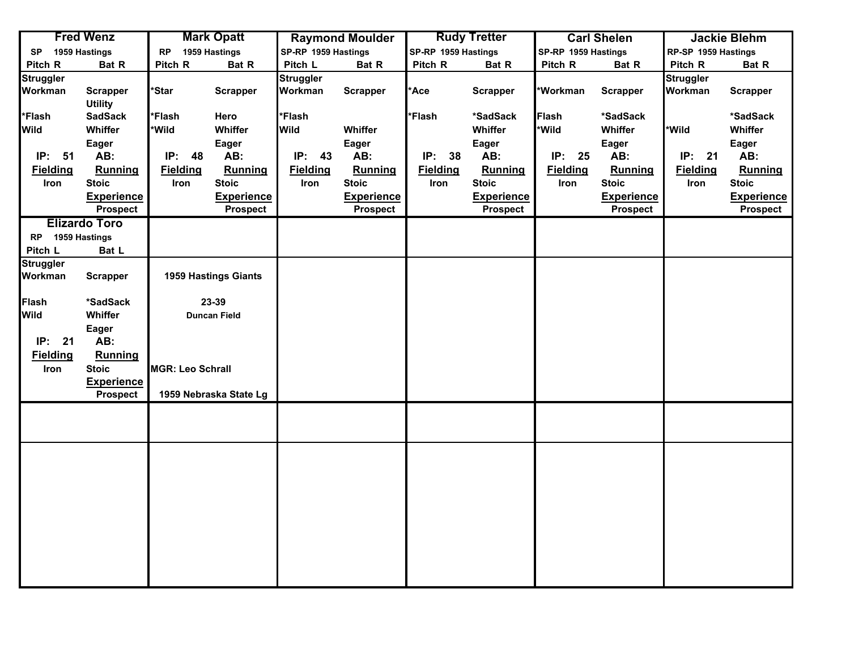|                  | <b>Fred Wenz</b>     |                         | <b>Mark Opatt</b>      |                     | <b>Raymond Moulder</b> |                     | <b>Rudy Tretter</b> |                     | <b>Carl Shelen</b> |                     | <b>Jackie Blehm</b> |
|------------------|----------------------|-------------------------|------------------------|---------------------|------------------------|---------------------|---------------------|---------------------|--------------------|---------------------|---------------------|
| <b>SP</b>        | 1959 Hastings        | <b>RP</b>               | 1959 Hastings          | SP-RP 1959 Hastings |                        | SP-RP 1959 Hastings |                     | SP-RP 1959 Hastings |                    | RP-SP 1959 Hastings |                     |
| Pitch R          | Bat R                | Pitch R                 | Bat R                  | Pitch L             | Bat R                  | Pitch R             | Bat R               | Pitch R             | Bat R              | Pitch R             | Bat R               |
| <b>Struggler</b> |                      |                         |                        | Struggler           |                        |                     |                     |                     |                    | <b>Struggler</b>    |                     |
| Workman          | <b>Scrapper</b>      | *Star                   | <b>Scrapper</b>        | Workman             | <b>Scrapper</b>        | *Ace                | <b>Scrapper</b>     | *Workman            | <b>Scrapper</b>    | Workman             | <b>Scrapper</b>     |
|                  | <b>Utility</b>       |                         |                        |                     |                        |                     |                     |                     |                    |                     |                     |
| *Flash           | <b>SadSack</b>       | *Flash                  | Hero                   | *Flash              |                        | *Flash              | *SadSack            | <b>Flash</b>        | *SadSack           |                     | *SadSack            |
| <b>Wild</b>      | Whiffer              | *Wild                   | Whiffer                | <b>Wild</b>         | Whiffer                |                     | Whiffer             | *Wild               | Whiffer            | *Wild               | Whiffer             |
|                  | Eager                |                         | Eager                  |                     | Eager                  |                     | Eager               |                     | Eager              |                     | Eager               |
| IP: 51           | AB:                  | IP:<br>48               | AB:                    | IP:<br>43           | AB:                    | IP: 38              | AB:                 | IP: 25              | AB:                | IP: 21              | AB:                 |
| <b>Fielding</b>  | <b>Running</b>       | <b>Fielding</b>         | Running                | <b>Fielding</b>     | <b>Running</b>         | <b>Fielding</b>     | Running             | <b>Fielding</b>     | Running            | <b>Fielding</b>     | Running             |
| Iron             | <b>Stoic</b>         | Iron                    | <b>Stoic</b>           | Iron                | <b>Stoic</b>           | Iron                | <b>Stoic</b>        | Iron                | <b>Stoic</b>       | Iron                | <b>Stoic</b>        |
|                  | <b>Experience</b>    |                         | <b>Experience</b>      |                     | <b>Experience</b>      |                     | <b>Experience</b>   |                     | <b>Experience</b>  |                     | <b>Experience</b>   |
|                  | <b>Prospect</b>      |                         | <b>Prospect</b>        |                     | <b>Prospect</b>        |                     | <b>Prospect</b>     |                     | <b>Prospect</b>    |                     | <b>Prospect</b>     |
|                  | <b>Elizardo Toro</b> |                         |                        |                     |                        |                     |                     |                     |                    |                     |                     |
| RP 1959 Hastings |                      |                         |                        |                     |                        |                     |                     |                     |                    |                     |                     |
| Pitch L          | Bat L                |                         |                        |                     |                        |                     |                     |                     |                    |                     |                     |
| <b>Struggler</b> |                      |                         |                        |                     |                        |                     |                     |                     |                    |                     |                     |
| Workman          | <b>Scrapper</b>      |                         | 1959 Hastings Giants   |                     |                        |                     |                     |                     |                    |                     |                     |
|                  |                      |                         |                        |                     |                        |                     |                     |                     |                    |                     |                     |
| <b>Flash</b>     | *SadSack             |                         | 23-39                  |                     |                        |                     |                     |                     |                    |                     |                     |
| Wild             | Whiffer              |                         | Duncan Field           |                     |                        |                     |                     |                     |                    |                     |                     |
|                  | Eager                |                         |                        |                     |                        |                     |                     |                     |                    |                     |                     |
| IP: 21           | AB:                  |                         |                        |                     |                        |                     |                     |                     |                    |                     |                     |
| <b>Fielding</b>  | <b>Running</b>       |                         |                        |                     |                        |                     |                     |                     |                    |                     |                     |
| Iron             | <b>Stoic</b>         | <b>MGR: Leo Schrall</b> |                        |                     |                        |                     |                     |                     |                    |                     |                     |
|                  | <b>Experience</b>    |                         |                        |                     |                        |                     |                     |                     |                    |                     |                     |
|                  | <b>Prospect</b>      |                         | 1959 Nebraska State Lg |                     |                        |                     |                     |                     |                    |                     |                     |
|                  |                      |                         |                        |                     |                        |                     |                     |                     |                    |                     |                     |
|                  |                      |                         |                        |                     |                        |                     |                     |                     |                    |                     |                     |
|                  |                      |                         |                        |                     |                        |                     |                     |                     |                    |                     |                     |
|                  |                      |                         |                        |                     |                        |                     |                     |                     |                    |                     |                     |
|                  |                      |                         |                        |                     |                        |                     |                     |                     |                    |                     |                     |
|                  |                      |                         |                        |                     |                        |                     |                     |                     |                    |                     |                     |
|                  |                      |                         |                        |                     |                        |                     |                     |                     |                    |                     |                     |
|                  |                      |                         |                        |                     |                        |                     |                     |                     |                    |                     |                     |
|                  |                      |                         |                        |                     |                        |                     |                     |                     |                    |                     |                     |
|                  |                      |                         |                        |                     |                        |                     |                     |                     |                    |                     |                     |
|                  |                      |                         |                        |                     |                        |                     |                     |                     |                    |                     |                     |
|                  |                      |                         |                        |                     |                        |                     |                     |                     |                    |                     |                     |
|                  |                      |                         |                        |                     |                        |                     |                     |                     |                    |                     |                     |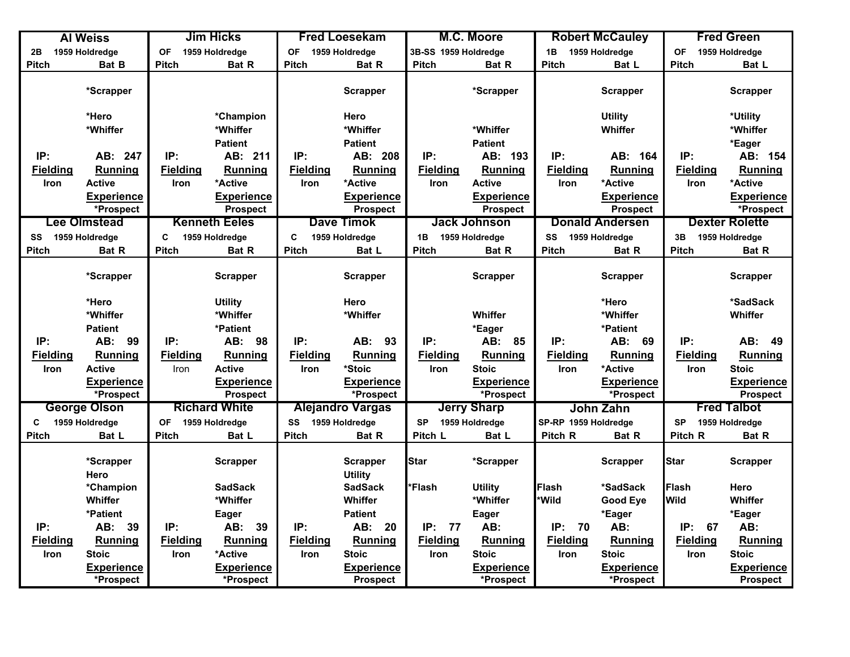|                   | <b>Al Weiss</b>                |                 | <b>Jim Hicks</b>               |                   | <b>Fred Loesekam</b>                 |                      | M.C. Moore                     |                      | <b>Robert McCauley</b>         |                 | <b>Fred Green</b>                    |
|-------------------|--------------------------------|-----------------|--------------------------------|-------------------|--------------------------------------|----------------------|--------------------------------|----------------------|--------------------------------|-----------------|--------------------------------------|
| 2B                | 1959 Holdredge                 | <b>OF</b>       | 1959 Holdredge                 | <b>OF</b>         | 1959 Holdredge                       | 3B-SS 1959 Holdredge |                                | 1B                   | 1959 Holdredge                 | <b>OF</b>       | 1959 Holdredge                       |
| <b>Pitch</b>      | Bat B                          | <b>Pitch</b>    | Bat R                          | <b>Pitch</b>      | <b>Bat R</b>                         | <b>Pitch</b>         | Bat R                          | <b>Pitch</b>         | Bat L                          | <b>Pitch</b>    | Bat L                                |
|                   | *Scrapper                      |                 |                                |                   | <b>Scrapper</b>                      |                      | *Scrapper                      |                      | <b>Scrapper</b>                |                 | <b>Scrapper</b>                      |
|                   | *Hero                          |                 | *Champion                      |                   | Hero                                 |                      |                                |                      | <b>Utility</b>                 |                 | *Utility                             |
|                   | *Whiffer                       |                 | *Whiffer                       |                   | *Whiffer                             |                      | *Whiffer                       |                      | Whiffer                        |                 | *Whiffer                             |
|                   |                                |                 | <b>Patient</b>                 |                   | <b>Patient</b>                       |                      | <b>Patient</b>                 |                      |                                |                 | *Eager                               |
| IP:               | AB: 247                        | IP:             | AB: 211                        | IP:               | AB: 208                              | IP:                  | AB: 193                        | IP:                  | AB: 164                        | IP:             | AB: 154                              |
| <b>Fielding</b>   | <b>Running</b>                 | <b>Fielding</b> | Running                        | <b>Fielding</b>   | Running                              | <b>Fielding</b>      | Running                        | <b>Fielding</b>      | Running                        | <b>Fielding</b> | Running                              |
| Iron              | <b>Active</b>                  | <b>Iron</b>     | *Active                        | Iron              | *Active                              | <b>Iron</b>          | <b>Active</b>                  | Iron                 | *Active                        | <b>Iron</b>     | *Active                              |
|                   | <b>Experience</b>              |                 | <b>Experience</b>              |                   | <b>Experience</b>                    |                      | <b>Experience</b>              |                      | <b>Experience</b>              |                 | <b>Experience</b>                    |
|                   | *Prospect                      |                 | <b>Prospect</b>                |                   | <b>Prospect</b>                      |                      | <b>Prospect</b>                |                      | <b>Prospect</b>                |                 | *Prospect                            |
|                   | <b>Lee Olmstead</b>            |                 | <b>Kenneth Eeles</b>           |                   | <b>Dave Timok</b>                    |                      | <b>Jack Johnson</b>            |                      | <b>Donald Andersen</b>         |                 | <b>Dexter Rolette</b>                |
| SS 1959 Holdredge |                                | C               | 1959 Holdredge                 | $\mathbf c$       | 1959 Holdredge                       | 1B                   | 1959 Holdredge                 | SS                   | 1959 Holdredge                 | 3B              | 1959 Holdredge                       |
| Pitch             | Bat R                          | <b>Pitch</b>    | <b>Bat R</b>                   | <b>Pitch</b>      | Bat L                                | <b>Pitch</b>         | <b>Bat R</b>                   | <b>Pitch</b>         | <b>Bat R</b>                   | <b>Pitch</b>    | Bat R                                |
|                   | *Scrapper                      |                 | <b>Scrapper</b>                |                   | <b>Scrapper</b>                      |                      | Scrapper                       |                      | <b>Scrapper</b>                |                 | <b>Scrapper</b>                      |
|                   | *Hero                          |                 | <b>Utility</b>                 |                   | Hero                                 |                      |                                |                      | *Hero                          |                 | *SadSack                             |
|                   | *Whiffer                       |                 | *Whiffer                       |                   | *Whiffer                             |                      | Whiffer                        |                      | *Whiffer                       |                 | Whiffer                              |
|                   | Patient                        |                 | *Patient                       |                   |                                      |                      | *Eager                         |                      | *Patient                       |                 |                                      |
| IP:               | AB: 99                         | IP:             | AB: 98                         | IP:               | AB: 93                               | IP:                  | AB: 85                         | IP:                  | AB: 69                         | IP:             | AB: 49                               |
| <b>Fielding</b>   | Running                        | <b>Fielding</b> | Running                        | <b>Fielding</b>   | Running                              | <b>Fielding</b>      | Running                        | <b>Fielding</b>      | Running                        | <b>Fielding</b> | Running                              |
| Iron              | <b>Active</b>                  | Iron            | <b>Active</b>                  | Iron              | *Stoic                               | <b>Iron</b>          | <b>Stoic</b>                   | Iron                 | *Active                        | Iron            | <b>Stoic</b>                         |
|                   | <b>Experience</b>              |                 | <b>Experience</b>              |                   | <b>Experience</b>                    |                      | <b>Experience</b>              |                      | <b>Experience</b>              |                 | <b>Experience</b>                    |
|                   | *Prospect                      |                 | <b>Prospect</b>                |                   | *Prospect                            |                      | *Prospect                      |                      | *Prospect                      |                 | <b>Prospect</b>                      |
|                   | <b>George Olson</b>            |                 | <b>Richard White</b>           |                   | <b>Alejandro Vargas</b>              |                      | <b>Jerry Sharp</b>             |                      | John Zahn                      |                 | <b>Fred Talbot</b>                   |
| C                 | 1959 Holdredge                 | <b>OF</b>       | 1959 Holdredge                 | SS 1959 Holdredge |                                      | <b>SP</b>            | 1959 Holdredge                 | SP-RP 1959 Holdredge |                                | <b>SP</b>       | 1959 Holdredge                       |
| <b>Pitch</b>      | Bat L                          | <b>Pitch</b>    | Bat L                          | <b>Pitch</b>      | Bat R                                | Pitch L              | Bat L                          | Pitch R              | Bat R                          | Pitch R         | Bat R                                |
|                   | *Scrapper<br>Hero              |                 | <b>Scrapper</b>                |                   | <b>Scrapper</b><br><b>Utility</b>    | <b>Star</b>          | *Scrapper                      |                      | <b>Scrapper</b>                | <b>Star</b>     | <b>Scrapper</b>                      |
|                   | *Champion                      |                 | <b>SadSack</b>                 |                   | <b>SadSack</b>                       | *Flash               | <b>Utility</b>                 | Flash                | *SadSack                       | <b>Flash</b>    | Hero                                 |
|                   | Whiffer                        |                 | *Whiffer                       |                   | Whiffer                              |                      | *Whiffer                       | *Wild                | <b>Good Eye</b>                | <b>Wild</b>     | Whiffer                              |
|                   | *Patient                       |                 | Eager                          |                   | <b>Patient</b>                       |                      | Eager                          |                      | *Eager                         |                 | *Eager                               |
| IP:               | AB: 39                         | IP:             | AB:<br>39                      | IP:               | AB: 20                               | IP: 77               | AB:                            | IP:<br>70            | AB:                            | IP:<br>67       | AB:                                  |
| <b>Fielding</b>   | <b>Running</b>                 | <b>Fielding</b> | Running                        | <b>Fielding</b>   | Running                              | <b>Fielding</b>      | Running                        | <b>Fielding</b>      | Running                        | <b>Fielding</b> | Running                              |
| Iron              | <b>Stoic</b>                   | <b>Iron</b>     | *Active                        | <b>Iron</b>       | <b>Stoic</b>                         | <b>Iron</b>          | <b>Stoic</b>                   | <b>Iron</b>          | <b>Stoic</b>                   | Iron            | <b>Stoic</b>                         |
|                   | <b>Experience</b><br>*Prospect |                 | <b>Experience</b><br>*Prospect |                   | <b>Experience</b><br><b>Prospect</b> |                      | <b>Experience</b><br>*Prospect |                      | <b>Experience</b><br>*Prospect |                 | <b>Experience</b><br><b>Prospect</b> |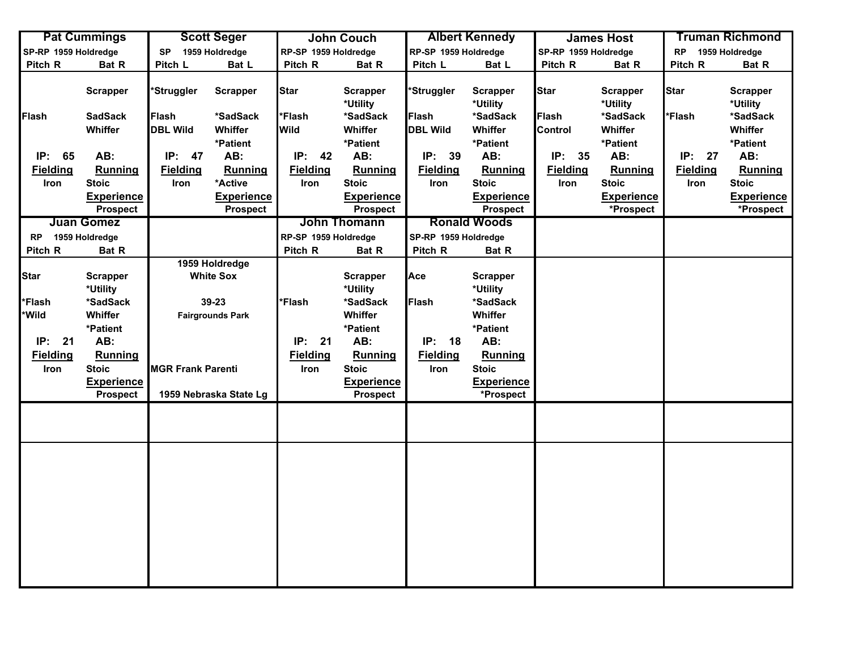|                      | <b>Pat Cummings</b> |                          | <b>Scott Seger</b>      |                      | <b>John Couch</b>           |                      | <b>Albert Kennedy</b>       |                      | <b>James Host</b>           |                 | <b>Truman Richmond</b>      |
|----------------------|---------------------|--------------------------|-------------------------|----------------------|-----------------------------|----------------------|-----------------------------|----------------------|-----------------------------|-----------------|-----------------------------|
| SP-RP 1959 Holdredge |                     | <b>SP</b>                | 1959 Holdredge          | RP-SP 1959 Holdredge |                             | RP-SP 1959 Holdredge |                             | SP-RP 1959 Holdredge |                             | <b>RP</b>       | 1959 Holdredge              |
| Pitch R              | Bat R               | Pitch L                  | Bat L                   | Pitch R              | Bat R                       | Pitch L              | Bat L                       | Pitch R              | Bat R                       | Pitch R         | Bat R                       |
|                      | <b>Scrapper</b>     | *Struggler               | <b>Scrapper</b>         | <b>Star</b>          | <b>Scrapper</b><br>*Utility | *Struggler           | <b>Scrapper</b><br>*Utility | Star                 | <b>Scrapper</b><br>*Utility | Star            | <b>Scrapper</b><br>*Utility |
| <b>Flash</b>         | <b>SadSack</b>      | Flash                    | *SadSack                | *Flash               | *SadSack                    | Flash                | *SadSack                    | <b>Flash</b>         | *SadSack                    | 'Flash          | *SadSack                    |
|                      | Whiffer             | <b>DBL Wild</b>          | Whiffer                 | <b>Wild</b>          | Whiffer                     | <b>DBL Wild</b>      | Whiffer                     | <b>Control</b>       | Whiffer                     |                 | Whiffer                     |
|                      |                     |                          | *Patient                |                      | *Patient                    |                      | *Patient                    |                      | *Patient                    |                 | *Patient                    |
| IP: 65               | AB:                 | IP:<br>47                | AB:                     | IP: 42               | AB:                         | IP: 39               | AB:                         | IP: 35               | AB:                         | IP: 27          | AB:                         |
| <b>Fielding</b>      | Running             | <b>Fielding</b>          | <b>Running</b>          | <b>Fielding</b>      | Running                     | <b>Fielding</b>      | Running                     | <b>Fielding</b>      | <b>Running</b>              | <b>Fielding</b> | Running                     |
| Iron                 | <b>Stoic</b>        | Iron                     | *Active                 | Iron                 | <b>Stoic</b>                | Iron                 | <b>Stoic</b>                | Iron                 | <b>Stoic</b>                | Iron            | <b>Stoic</b>                |
|                      | <b>Experience</b>   |                          | <b>Experience</b>       |                      | <b>Experience</b>           |                      | <b>Experience</b>           |                      | <b>Experience</b>           |                 | <b>Experience</b>           |
|                      | <b>Prospect</b>     |                          | Prospect                |                      | <b>Prospect</b>             |                      | <b>Prospect</b>             |                      | *Prospect                   |                 | *Prospect                   |
|                      | <b>Juan Gomez</b>   |                          |                         |                      | John Thomann                |                      | <b>Ronald Woods</b>         |                      |                             |                 |                             |
| RP 1959 Holdredge    |                     |                          |                         | RP-SP 1959 Holdredge |                             | SP-RP 1959 Holdredge |                             |                      |                             |                 |                             |
| Pitch R              | Bat R               |                          |                         | Pitch R              | Bat R                       | Pitch R              | Bat R                       |                      |                             |                 |                             |
|                      |                     |                          | 1959 Holdredge          |                      |                             |                      |                             |                      |                             |                 |                             |
| <b>Star</b>          | <b>Scrapper</b>     |                          | <b>White Sox</b>        |                      | <b>Scrapper</b>             | Ace                  | <b>Scrapper</b>             |                      |                             |                 |                             |
|                      | *Utility            |                          |                         |                      | *Utility                    |                      | *Utility                    |                      |                             |                 |                             |
| <b>Flash</b>         | *SadSack            |                          | 39-23                   | *Flash               | *SadSack                    | Flash                | *SadSack                    |                      |                             |                 |                             |
| <b>Wild</b>          | Whiffer             |                          | <b>Fairgrounds Park</b> |                      | Whiffer                     |                      | Whiffer                     |                      |                             |                 |                             |
|                      | *Patient            |                          |                         |                      | *Patient                    |                      | *Patient                    |                      |                             |                 |                             |
| IP: 21               | AB:                 |                          |                         | IP: 21               | AB:                         | IP: 18               | AB:                         |                      |                             |                 |                             |
| <b>Fielding</b>      | <b>Running</b>      |                          |                         | <b>Fielding</b>      | Running                     | <b>Fielding</b>      | Running                     |                      |                             |                 |                             |
| Iron                 | <b>Stoic</b>        | <b>MGR Frank Parenti</b> |                         | Iron                 | <b>Stoic</b>                | Iron                 | <b>Stoic</b>                |                      |                             |                 |                             |
|                      | <b>Experience</b>   |                          |                         |                      | <b>Experience</b>           |                      | <b>Experience</b>           |                      |                             |                 |                             |
|                      | <b>Prospect</b>     |                          | 1959 Nebraska State Lg  |                      | <b>Prospect</b>             |                      | *Prospect                   |                      |                             |                 |                             |
|                      |                     |                          |                         |                      |                             |                      |                             |                      |                             |                 |                             |
|                      |                     |                          |                         |                      |                             |                      |                             |                      |                             |                 |                             |
|                      |                     |                          |                         |                      |                             |                      |                             |                      |                             |                 |                             |
|                      |                     |                          |                         |                      |                             |                      |                             |                      |                             |                 |                             |
|                      |                     |                          |                         |                      |                             |                      |                             |                      |                             |                 |                             |
|                      |                     |                          |                         |                      |                             |                      |                             |                      |                             |                 |                             |
|                      |                     |                          |                         |                      |                             |                      |                             |                      |                             |                 |                             |
|                      |                     |                          |                         |                      |                             |                      |                             |                      |                             |                 |                             |
|                      |                     |                          |                         |                      |                             |                      |                             |                      |                             |                 |                             |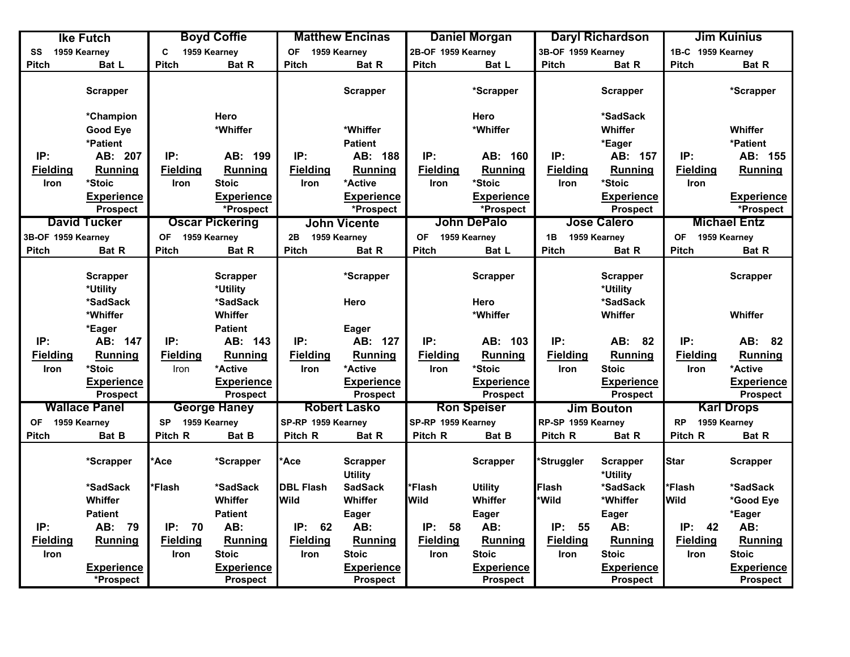|                           | <b>Ike Futch</b>     |                           | <b>Boyd Coffie</b>     |                    | <b>Matthew Encinas</b>            |                    | <b>Daniel Morgan</b> |                    | <b>Daryl Richardson</b>     |                   | <b>Jim Kuinius</b>  |
|---------------------------|----------------------|---------------------------|------------------------|--------------------|-----------------------------------|--------------------|----------------------|--------------------|-----------------------------|-------------------|---------------------|
| SS                        | 1959 Kearney         | C.                        | 1959 Kearney           | 1959 Kearney<br>0F |                                   | 2B-OF 1959 Kearney |                      | 3B-OF 1959 Kearney |                             | 1B-C 1959 Kearney |                     |
| <b>Pitch</b>              | Bat L                | <b>Pitch</b>              | Bat R                  | <b>Pitch</b>       | Bat R                             | Pitch              | Bat L                | <b>Pitch</b>       | Bat R                       | <b>Pitch</b>      | <b>Bat R</b>        |
|                           | <b>Scrapper</b>      |                           |                        |                    | <b>Scrapper</b>                   |                    | *Scrapper            |                    | <b>Scrapper</b>             |                   | *Scrapper           |
|                           | *Champion            |                           | Hero                   |                    |                                   |                    | Hero                 |                    | *SadSack                    |                   |                     |
|                           | <b>Good Eye</b>      |                           | *Whiffer               |                    | *Whiffer                          |                    | *Whiffer             |                    | Whiffer                     |                   | Whiffer             |
|                           | *Patient             |                           |                        |                    | <b>Patient</b>                    |                    |                      |                    | *Eager                      |                   | *Patient            |
| IP:                       | AB: 207              | IP:                       | AB: 199                | IP:                | AB: 188                           | IP:                | AB: 160              | IP:                | AB: 157                     | IP:               | AB: 155             |
| <b>Fielding</b>           | <b>Running</b>       | <b>Fielding</b>           | <b>Running</b>         | <b>Fielding</b>    | Running                           | <b>Fielding</b>    | <b>Running</b>       | <b>Fielding</b>    | Running                     | <b>Fielding</b>   | <b>Running</b>      |
| Iron                      | *Stoic               | Iron                      | <b>Stoic</b>           | <b>Iron</b>        | *Active                           | <b>Iron</b>        | *Stoic               | <b>Iron</b>        | *Stoic                      | Iron              |                     |
|                           | Experience           |                           | <b>Experience</b>      |                    | <b>Experience</b>                 |                    | <b>Experience</b>    |                    | <b>Experience</b>           |                   | <b>Experience</b>   |
|                           | <b>Prospect</b>      |                           | *Prospect              |                    | *Prospect                         |                    | *Prospect            |                    | <b>Prospect</b>             |                   | *Prospect           |
|                           | <b>David Tucker</b>  |                           | <b>Oscar Pickering</b> |                    | <b>John Vicente</b>               |                    | John DePalo          |                    | <b>Jose Calero</b>          |                   | <b>Michael Entz</b> |
| 3B-OF 1959 Kearney        |                      | OF 1959 Kearney           |                        | 2B                 | 1959 Kearney                      | OF 1959 Kearney    |                      | 1B 1959 Kearney    |                             | OF 1959 Kearney   |                     |
| Pitch                     | Bat R                | Pitch                     | Bat R                  | <b>Pitch</b>       | Bat R                             | <b>Pitch</b>       | Bat L                | Pitch              | Bat R                       | <b>Pitch</b>      | Bat R               |
|                           |                      |                           |                        |                    |                                   |                    |                      |                    |                             |                   |                     |
|                           | <b>Scrapper</b>      |                           | <b>Scrapper</b>        |                    | *Scrapper                         |                    | <b>Scrapper</b>      |                    | <b>Scrapper</b>             |                   | <b>Scrapper</b>     |
|                           | *Utility             |                           | *Utility               |                    |                                   |                    |                      |                    | *Utility                    |                   |                     |
|                           | *SadSack             |                           | *SadSack               |                    | Hero                              |                    | Hero                 |                    | *SadSack                    |                   |                     |
|                           | *Whiffer             |                           | Whiffer                |                    |                                   |                    | *Whiffer             |                    | Whiffer                     |                   | Whiffer             |
|                           | *Eager               |                           | <b>Patient</b>         |                    | Eager                             |                    |                      |                    |                             |                   |                     |
| IP:                       | AB: 147              | IP:                       | AB: 143                | IP:                | AB: 127                           | IP:                | AB: 103              | IP:                | AB: 82                      | IP:               | AB: 82              |
| <b>Fielding</b>           | <b>Running</b>       | <b>Fielding</b>           | <b>Running</b>         | <b>Fielding</b>    | Running                           | <b>Fielding</b>    | Running              | <b>Fielding</b>    | Running                     | <b>Fielding</b>   | Running             |
| Iron                      | *Stoic               | Iron                      | *Active                | Iron               | *Active                           | <b>Iron</b>        | *Stoic               | Iron               | <b>Stoic</b>                | Iron              | *Active             |
|                           | <b>Experience</b>    |                           | <b>Experience</b>      |                    | <b>Experience</b>                 |                    | <b>Experience</b>    |                    | <b>Experience</b>           |                   | <b>Experience</b>   |
|                           | <b>Prospect</b>      |                           | <b>Prospect</b>        |                    | <b>Prospect</b>                   |                    | <b>Prospect</b>      |                    | <b>Prospect</b>             |                   | <b>Prospect</b>     |
|                           | <b>Wallace Panel</b> |                           | <b>George Haney</b>    |                    | <b>Robert Lasko</b>               |                    | <b>Ron Speiser</b>   |                    | <b>Jim Bouton</b>           |                   | <b>Karl Drops</b>   |
| 1959 Kearney<br><b>OF</b> |                      | 1959 Kearney<br><b>SP</b> |                        | SP-RP 1959 Kearney |                                   | SP-RP 1959 Kearney |                      | RP-SP 1959 Kearney |                             | <b>RP</b>         | 1959 Kearney        |
| Pitch                     | Bat B                | Pitch R                   | Bat B                  | Pitch R            | Bat R                             | Pitch R            | Bat B                | Pitch R            | Bat R                       | Pitch R           | Bat R               |
|                           | *Scrapper            | Ace                       | *Scrapper              | *Ace               | <b>Scrapper</b><br><b>Utility</b> |                    | <b>Scrapper</b>      | *Struggler         | <b>Scrapper</b><br>*Utility | <b>Star</b>       | <b>Scrapper</b>     |
|                           | *SadSack             | Flash                     | *SadSack               | <b>DBL Flash</b>   | <b>SadSack</b>                    | *Flash             | <b>Utility</b>       | <b>Flash</b>       | *SadSack                    | *Flash            | *SadSack            |
|                           | Whiffer              |                           | Whiffer                | Wild               | Whiffer                           | Wild               | Whiffer              | *Wild              | *Whiffer                    | <b>Wild</b>       | *Good Eye           |
|                           | <b>Patient</b>       |                           | <b>Patient</b>         |                    | Eager                             |                    | Eager                |                    | <b>Eager</b>                |                   | *Eager              |
| IP:                       | AB: 79               | IP:<br>70                 | AB:                    | IP: 62             | AB:                               | IP:<br>58          | AB:                  | IP:<br>55          | AB:                         | IP:<br>42         | AB:                 |
| <b>Fielding</b>           | <b>Running</b>       | <b>Fielding</b>           | <b>Running</b>         | <b>Fielding</b>    | Running                           | <b>Fielding</b>    | Running              | <b>Fielding</b>    | Running                     | <b>Fielding</b>   | <b>Running</b>      |
| Iron                      |                      | Iron                      | <b>Stoic</b>           | Iron               | <b>Stoic</b>                      | Iron               | <b>Stoic</b>         | Iron               | <b>Stoic</b>                | Iron              | <b>Stoic</b>        |
|                           | <b>Experience</b>    |                           | <b>Experience</b>      |                    | <b>Experience</b>                 |                    | <b>Experience</b>    |                    | <b>Experience</b>           |                   | <b>Experience</b>   |
|                           | *Prospect            |                           | <b>Prospect</b>        |                    | <b>Prospect</b>                   |                    | <b>Prospect</b>      |                    | <b>Prospect</b>             |                   | <b>Prospect</b>     |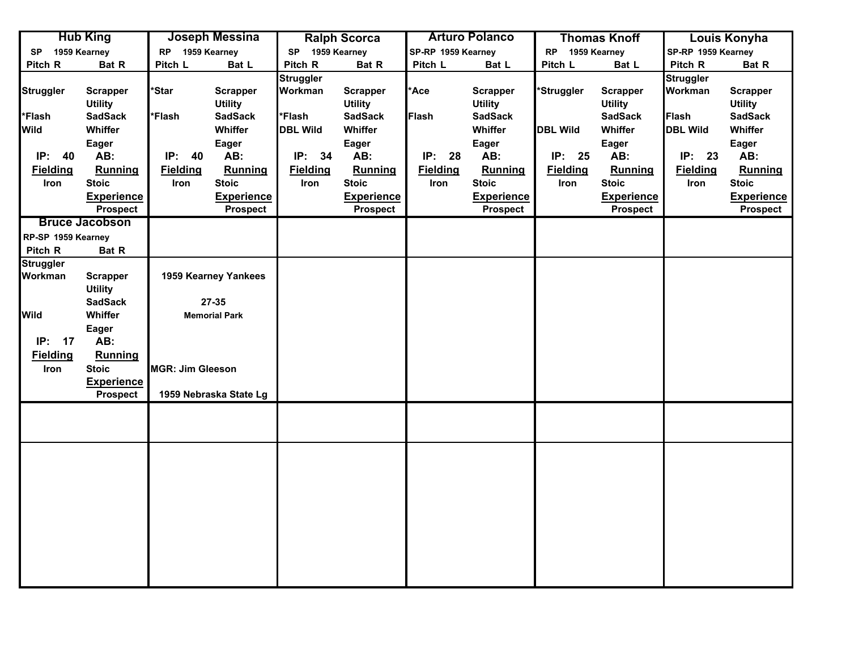|                    | <b>Hub King</b>                      |                         | Joseph Messina                                                                               |                             | <b>Ralph Scorca</b>               |                 | <b>Arturo Polanco</b>             |                 | <b>Thomas Knoff</b>               |                             | <b>Louis Konyha</b>               |
|--------------------|--------------------------------------|-------------------------|----------------------------------------------------------------------------------------------|-----------------------------|-----------------------------------|-----------------|-----------------------------------|-----------------|-----------------------------------|-----------------------------|-----------------------------------|
| <b>SP</b>          | 1959 Kearney                         | <b>RP</b>               | 1959 Kearney<br>1959 Kearney<br>1959 Kearney<br>SP-RP 1959 Kearney<br><b>RP</b><br><b>SP</b> |                             | SP-RP 1959 Kearney                |                 |                                   |                 |                                   |                             |                                   |
| Pitch R            | Bat R                                | Pitch L                 | Bat L                                                                                        | Pitch R                     | Bat R                             | Pitch L         | Bat L                             | Pitch L         | Bat L                             | Pitch R                     | Bat R                             |
| <b>Struggler</b>   | <b>Scrapper</b><br><b>Utility</b>    | 'Star                   | <b>Scrapper</b><br><b>Utility</b>                                                            | <b>Struggler</b><br>Workman | <b>Scrapper</b><br><b>Utility</b> | *Ace            | <b>Scrapper</b><br><b>Utility</b> | *Struggler      | <b>Scrapper</b><br><b>Utility</b> | <b>Struggler</b><br>Workman | <b>Scrapper</b><br><b>Utility</b> |
| *Flash             | <b>SadSack</b>                       | *Flash                  | <b>SadSack</b>                                                                               | *Flash                      | <b>SadSack</b>                    | Flash           | <b>SadSack</b>                    |                 | <b>SadSack</b>                    | Flash                       | <b>SadSack</b>                    |
| <b>Wild</b>        | Whiffer                              |                         | Whiffer                                                                                      | <b>DBL Wild</b>             | Whiffer                           |                 | Whiffer                           | <b>DBL Wild</b> | Whiffer                           | <b>DBL Wild</b>             | Whiffer                           |
|                    | Eager                                |                         | <b>Eager</b>                                                                                 |                             | Eager                             |                 | Eager                             |                 | Eager                             |                             | Eager                             |
| IP: 40             | AB:                                  | IP:<br>40               | AB:                                                                                          | IP:<br>34                   | AB:                               | IP: 28          | AB:                               | IP: 25          | AB:                               | IP: 23                      | AB:                               |
| <b>Fielding</b>    | Running                              | <b>Fielding</b>         | Running                                                                                      | <b>Fielding</b>             | <b>Running</b>                    | <b>Fielding</b> | <b>Running</b>                    | <b>Fielding</b> | <b>Running</b>                    | <b>Fielding</b>             | Running                           |
| Iron               | <b>Stoic</b>                         | Iron                    | <b>Stoic</b>                                                                                 | Iron                        | <b>Stoic</b>                      | Iron            | <b>Stoic</b>                      | Iron            | <b>Stoic</b>                      | Iron                        | <b>Stoic</b>                      |
|                    | <b>Experience</b>                    |                         | <b>Experience</b>                                                                            |                             | <b>Experience</b>                 |                 | <b>Experience</b>                 |                 | <b>Experience</b>                 |                             | <b>Experience</b>                 |
|                    | <b>Prospect</b>                      |                         | <b>Prospect</b>                                                                              |                             | <b>Prospect</b>                   |                 | <b>Prospect</b>                   |                 | <b>Prospect</b>                   |                             | <b>Prospect</b>                   |
|                    | <b>Bruce Jacobson</b>                |                         |                                                                                              |                             |                                   |                 |                                   |                 |                                   |                             |                                   |
| RP-SP 1959 Kearney |                                      |                         |                                                                                              |                             |                                   |                 |                                   |                 |                                   |                             |                                   |
| Pitch R            | Bat R                                |                         |                                                                                              |                             |                                   |                 |                                   |                 |                                   |                             |                                   |
| <b>Struggler</b>   |                                      |                         |                                                                                              |                             |                                   |                 |                                   |                 |                                   |                             |                                   |
| Workman            | <b>Scrapper</b><br><b>Utility</b>    |                         | 1959 Kearney Yankees                                                                         |                             |                                   |                 |                                   |                 |                                   |                             |                                   |
|                    | <b>SadSack</b>                       |                         | $27 - 35$                                                                                    |                             |                                   |                 |                                   |                 |                                   |                             |                                   |
| Wild               | Whiffer                              |                         | <b>Memorial Park</b>                                                                         |                             |                                   |                 |                                   |                 |                                   |                             |                                   |
|                    | Eager                                |                         |                                                                                              |                             |                                   |                 |                                   |                 |                                   |                             |                                   |
| IP: 17             | AB:                                  |                         |                                                                                              |                             |                                   |                 |                                   |                 |                                   |                             |                                   |
| <b>Fielding</b>    | <b>Running</b>                       |                         |                                                                                              |                             |                                   |                 |                                   |                 |                                   |                             |                                   |
| Iron               | <b>Stoic</b>                         | <b>MGR: Jim Gleeson</b> |                                                                                              |                             |                                   |                 |                                   |                 |                                   |                             |                                   |
|                    | <b>Experience</b><br><b>Prospect</b> |                         | 1959 Nebraska State Lg                                                                       |                             |                                   |                 |                                   |                 |                                   |                             |                                   |
|                    |                                      |                         |                                                                                              |                             |                                   |                 |                                   |                 |                                   |                             |                                   |
|                    |                                      |                         |                                                                                              |                             |                                   |                 |                                   |                 |                                   |                             |                                   |
|                    |                                      |                         |                                                                                              |                             |                                   |                 |                                   |                 |                                   |                             |                                   |
|                    |                                      |                         |                                                                                              |                             |                                   |                 |                                   |                 |                                   |                             |                                   |
|                    |                                      |                         |                                                                                              |                             |                                   |                 |                                   |                 |                                   |                             |                                   |
|                    |                                      |                         |                                                                                              |                             |                                   |                 |                                   |                 |                                   |                             |                                   |
|                    |                                      |                         |                                                                                              |                             |                                   |                 |                                   |                 |                                   |                             |                                   |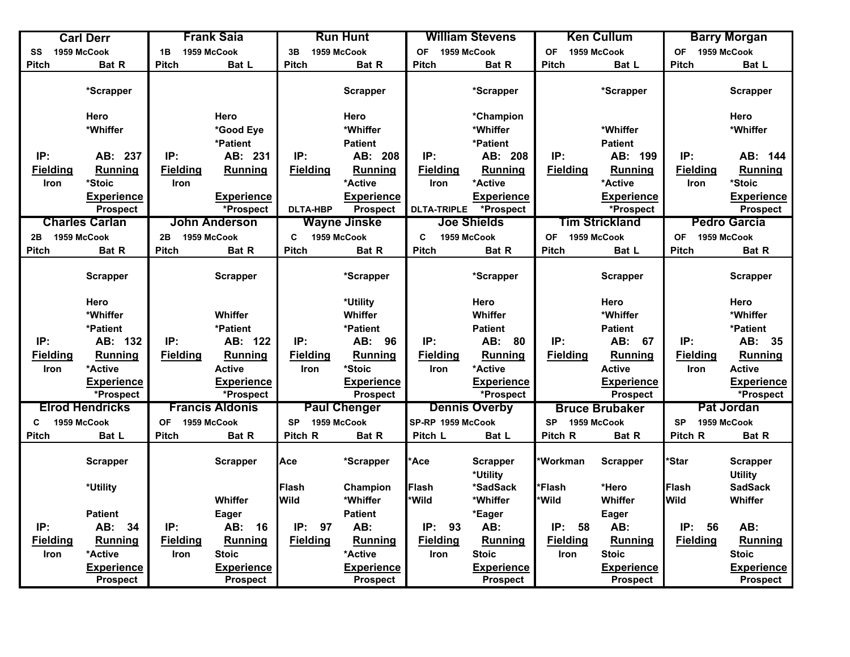| 1959 McCook<br>OF 1959 McCook<br>1959 McCook<br>1959 McCook<br>1959 McCook<br><b>OF</b><br><b>OF</b><br>1959 McCook<br>1B<br>3B<br>SS<br><b>Pitch</b><br><b>Pitch</b><br><b>Pitch</b><br>Bat L<br><b>Pitch</b><br>Bat R<br><b>Pitch</b><br>Bat R<br><b>Pitch</b><br>Bat L<br><b>Bat R</b><br>Bat L<br>*Scrapper<br><b>Scrapper</b><br>*Scrapper<br>*Scrapper<br><b>Scrapper</b><br>Hero<br>Hero<br>Hero<br>Hero<br>*Champion<br>*Whiffer<br>*Whiffer<br>*Whiffer<br>*Good Eye<br>*Whiffer<br>*Whiffer<br>*Patient<br>*Patient<br><b>Patient</b><br><b>Patient</b><br>IP:<br>IP:<br>IP:<br>IP:<br>IP:<br>AB: 237<br>AB: 231<br>AB: 208<br>AB: 208<br>IP:<br>AB: 199<br><b>Fielding</b><br><b>Fielding</b><br><b>Fielding</b><br><b>Running</b><br><b>Fielding</b><br>Running<br><b>Fielding</b><br><b>Running</b><br><b>Fielding</b><br><b>Running</b><br><b>Running</b><br>Running<br>*Stoic<br>*Active<br>*Active<br>*Active<br>*Stoic<br>Iron<br>Iron<br>Iron<br>Iron<br><b>Experience</b><br><b>Experience</b><br><b>Experience</b><br><b>Experience</b><br><b>Experience</b><br>*Prospect<br>Prospect<br>*Prospect<br><b>DLTA-HBP</b><br><b>Prospect</b><br><b>DLTA-TRIPLE</b><br>*Prospect<br><b>Prospect</b><br><b>Wayne Jinske</b><br><b>Joe Shields</b><br><b>Tim Strickland</b><br><b>Charles Carlan</b><br><b>Pedro Garcia</b><br>John Anderson<br>$\mathbf c$<br>1959 McCook<br>1959 McCook<br>1959 McCook<br>C.<br>1959 McCook<br>1959 McCook<br><b>OF</b><br>1959 McCook<br>2B<br><b>OF</b><br>2B<br><b>Pitch</b><br><b>Pitch</b><br>Bat R<br><b>Pitch</b><br><b>Pitch</b><br><b>Pitch</b><br>Bat R<br><b>Bat R</b><br>Pitch<br>Bat R<br>Bat R<br>Bat L<br><b>Scrapper</b><br><b>Scrapper</b><br>*Scrapper<br>*Scrapper<br><b>Scrapper</b><br><b>Scrapper</b><br>Hero<br>Hero<br>Hero<br>*Utility<br>Hero<br>*Whiffer<br>*Whiffer<br>*Whiffer<br>Whiffer<br>Whiffer<br>Whiffer<br>*Patient<br>*Patient<br>*Patient<br><b>Patient</b><br>*Patient<br><b>Patient</b><br>IP:<br>IP:<br>IP:<br>IP:<br>AB: 80<br>IP:<br>IP:<br>AB: 35<br>AB: 132<br>AB: 122<br>AB: 96<br>AB: 67<br>Fielding<br><b>Fielding</b><br><b>Running</b><br>Running<br><b>Fielding</b><br>Running<br><b>Fielding</b><br><b>Running</b><br><b>Running</b><br><b>Fielding</b><br><b>Running</b><br><b>Fielding</b><br>*Active<br><b>Active</b><br>*Stoic<br>*Active<br><b>Active</b><br><b>Active</b><br>Iron<br><b>Iron</b><br><b>Iron</b><br>Iron<br><b>Experience</b><br><b>Experience</b><br><b>Experience</b><br><b>Experience</b><br><b>Experience</b><br>*Prospect<br><b>Prospect</b><br>*Prospect<br>*Prospect<br><b>Prospect</b><br>*Prospect<br><b>Elrod Hendricks</b><br><b>Francis Aldonis</b><br><b>Paul Chenger</b><br>Pat Jordan<br><b>Dennis Overby</b><br><b>Bruce Brubaker</b><br>1959 McCook<br>SP-RP 1959 McCook<br>1959 McCook<br><b>OF</b><br>1959 McCook<br><b>SP</b><br><b>SP</b><br>1959 McCook<br><b>SP</b><br>1959 McCook<br>C<br>Pitch R<br><b>Pitch</b><br>Bat L<br><b>Pitch</b><br>Bat R<br>Bat R<br>Pitch L<br>Pitch R<br>Pitch R<br>Bat R<br>Bat L<br><b>Bat R</b><br>*Workman<br>*Star<br>Ace<br><b>Ace</b><br><b>Scrapper</b><br><b>Scrapper</b><br>*Scrapper<br><b>Scrapper</b><br><b>Scrapper</b><br><b>Scrapper</b><br><b>Utility</b><br>*Utility<br>Flash<br>*Flash<br>Flash<br>*Hero<br><b>Flash</b><br><b>SadSack</b><br>*Utility<br>Champion<br>*SadSack<br>Wild<br>*Wild<br>*Wild<br>Wild<br>Whiffer<br>*Whiffer<br>*Whiffer<br>Whiffer<br>Whiffer<br><b>Patient</b><br>Eager<br><b>Patient</b><br>*Eager<br>Eager<br>IP:<br>AB:<br>IP:<br>97<br>AB:<br>IP:<br>AB:<br>IP:<br>AB:<br>IP:<br>AB:<br>IP:<br>AB: 34<br>16<br>93<br>58<br>56 | <b>Carl Derr</b> | <b>Frank Saia</b> | <b>Run Hunt</b> | <b>William Stevens</b> | <b>Ken Cullum</b> | <b>Barry Morgan</b> |
|-----------------------------------------------------------------------------------------------------------------------------------------------------------------------------------------------------------------------------------------------------------------------------------------------------------------------------------------------------------------------------------------------------------------------------------------------------------------------------------------------------------------------------------------------------------------------------------------------------------------------------------------------------------------------------------------------------------------------------------------------------------------------------------------------------------------------------------------------------------------------------------------------------------------------------------------------------------------------------------------------------------------------------------------------------------------------------------------------------------------------------------------------------------------------------------------------------------------------------------------------------------------------------------------------------------------------------------------------------------------------------------------------------------------------------------------------------------------------------------------------------------------------------------------------------------------------------------------------------------------------------------------------------------------------------------------------------------------------------------------------------------------------------------------------------------------------------------------------------------------------------------------------------------------------------------------------------------------------------------------------------------------------------------------------------------------------------------------------------------------------------------------------------------------------------------------------------------------------------------------------------------------------------------------------------------------------------------------------------------------------------------------------------------------------------------------------------------------------------------------------------------------------------------------------------------------------------------------------------------------------------------------------------------------------------------------------------------------------------------------------------------------------------------------------------------------------------------------------------------------------------------------------------------------------------------------------------------------------------------------------------------------------------------------------------------------------------------------------------------------------------------------------------------------------------------------------------------------------------------------------------------------------------------------------------------------------------------------------------------------------------------------------------------------------------------------------------------------------------------------------------------------------------------------------------------------------------------------------------------------------------------------------------------------|------------------|-------------------|-----------------|------------------------|-------------------|---------------------|
|                                                                                                                                                                                                                                                                                                                                                                                                                                                                                                                                                                                                                                                                                                                                                                                                                                                                                                                                                                                                                                                                                                                                                                                                                                                                                                                                                                                                                                                                                                                                                                                                                                                                                                                                                                                                                                                                                                                                                                                                                                                                                                                                                                                                                                                                                                                                                                                                                                                                                                                                                                                                                                                                                                                                                                                                                                                                                                                                                                                                                                                                                                                                                                                                                                                                                                                                                                                                                                                                                                                                                                                                                                                                 |                  |                   |                 |                        |                   |                     |
|                                                                                                                                                                                                                                                                                                                                                                                                                                                                                                                                                                                                                                                                                                                                                                                                                                                                                                                                                                                                                                                                                                                                                                                                                                                                                                                                                                                                                                                                                                                                                                                                                                                                                                                                                                                                                                                                                                                                                                                                                                                                                                                                                                                                                                                                                                                                                                                                                                                                                                                                                                                                                                                                                                                                                                                                                                                                                                                                                                                                                                                                                                                                                                                                                                                                                                                                                                                                                                                                                                                                                                                                                                                                 |                  |                   |                 |                        |                   |                     |
|                                                                                                                                                                                                                                                                                                                                                                                                                                                                                                                                                                                                                                                                                                                                                                                                                                                                                                                                                                                                                                                                                                                                                                                                                                                                                                                                                                                                                                                                                                                                                                                                                                                                                                                                                                                                                                                                                                                                                                                                                                                                                                                                                                                                                                                                                                                                                                                                                                                                                                                                                                                                                                                                                                                                                                                                                                                                                                                                                                                                                                                                                                                                                                                                                                                                                                                                                                                                                                                                                                                                                                                                                                                                 |                  |                   |                 |                        |                   |                     |
|                                                                                                                                                                                                                                                                                                                                                                                                                                                                                                                                                                                                                                                                                                                                                                                                                                                                                                                                                                                                                                                                                                                                                                                                                                                                                                                                                                                                                                                                                                                                                                                                                                                                                                                                                                                                                                                                                                                                                                                                                                                                                                                                                                                                                                                                                                                                                                                                                                                                                                                                                                                                                                                                                                                                                                                                                                                                                                                                                                                                                                                                                                                                                                                                                                                                                                                                                                                                                                                                                                                                                                                                                                                                 |                  |                   |                 |                        |                   |                     |
|                                                                                                                                                                                                                                                                                                                                                                                                                                                                                                                                                                                                                                                                                                                                                                                                                                                                                                                                                                                                                                                                                                                                                                                                                                                                                                                                                                                                                                                                                                                                                                                                                                                                                                                                                                                                                                                                                                                                                                                                                                                                                                                                                                                                                                                                                                                                                                                                                                                                                                                                                                                                                                                                                                                                                                                                                                                                                                                                                                                                                                                                                                                                                                                                                                                                                                                                                                                                                                                                                                                                                                                                                                                                 |                  |                   |                 |                        |                   |                     |
|                                                                                                                                                                                                                                                                                                                                                                                                                                                                                                                                                                                                                                                                                                                                                                                                                                                                                                                                                                                                                                                                                                                                                                                                                                                                                                                                                                                                                                                                                                                                                                                                                                                                                                                                                                                                                                                                                                                                                                                                                                                                                                                                                                                                                                                                                                                                                                                                                                                                                                                                                                                                                                                                                                                                                                                                                                                                                                                                                                                                                                                                                                                                                                                                                                                                                                                                                                                                                                                                                                                                                                                                                                                                 |                  |                   |                 |                        |                   |                     |
|                                                                                                                                                                                                                                                                                                                                                                                                                                                                                                                                                                                                                                                                                                                                                                                                                                                                                                                                                                                                                                                                                                                                                                                                                                                                                                                                                                                                                                                                                                                                                                                                                                                                                                                                                                                                                                                                                                                                                                                                                                                                                                                                                                                                                                                                                                                                                                                                                                                                                                                                                                                                                                                                                                                                                                                                                                                                                                                                                                                                                                                                                                                                                                                                                                                                                                                                                                                                                                                                                                                                                                                                                                                                 |                  |                   |                 |                        |                   | AB: 144             |
|                                                                                                                                                                                                                                                                                                                                                                                                                                                                                                                                                                                                                                                                                                                                                                                                                                                                                                                                                                                                                                                                                                                                                                                                                                                                                                                                                                                                                                                                                                                                                                                                                                                                                                                                                                                                                                                                                                                                                                                                                                                                                                                                                                                                                                                                                                                                                                                                                                                                                                                                                                                                                                                                                                                                                                                                                                                                                                                                                                                                                                                                                                                                                                                                                                                                                                                                                                                                                                                                                                                                                                                                                                                                 |                  |                   |                 |                        |                   |                     |
|                                                                                                                                                                                                                                                                                                                                                                                                                                                                                                                                                                                                                                                                                                                                                                                                                                                                                                                                                                                                                                                                                                                                                                                                                                                                                                                                                                                                                                                                                                                                                                                                                                                                                                                                                                                                                                                                                                                                                                                                                                                                                                                                                                                                                                                                                                                                                                                                                                                                                                                                                                                                                                                                                                                                                                                                                                                                                                                                                                                                                                                                                                                                                                                                                                                                                                                                                                                                                                                                                                                                                                                                                                                                 |                  |                   |                 |                        |                   |                     |
|                                                                                                                                                                                                                                                                                                                                                                                                                                                                                                                                                                                                                                                                                                                                                                                                                                                                                                                                                                                                                                                                                                                                                                                                                                                                                                                                                                                                                                                                                                                                                                                                                                                                                                                                                                                                                                                                                                                                                                                                                                                                                                                                                                                                                                                                                                                                                                                                                                                                                                                                                                                                                                                                                                                                                                                                                                                                                                                                                                                                                                                                                                                                                                                                                                                                                                                                                                                                                                                                                                                                                                                                                                                                 |                  |                   |                 |                        |                   | <b>Experience</b>   |
|                                                                                                                                                                                                                                                                                                                                                                                                                                                                                                                                                                                                                                                                                                                                                                                                                                                                                                                                                                                                                                                                                                                                                                                                                                                                                                                                                                                                                                                                                                                                                                                                                                                                                                                                                                                                                                                                                                                                                                                                                                                                                                                                                                                                                                                                                                                                                                                                                                                                                                                                                                                                                                                                                                                                                                                                                                                                                                                                                                                                                                                                                                                                                                                                                                                                                                                                                                                                                                                                                                                                                                                                                                                                 |                  |                   |                 |                        |                   |                     |
|                                                                                                                                                                                                                                                                                                                                                                                                                                                                                                                                                                                                                                                                                                                                                                                                                                                                                                                                                                                                                                                                                                                                                                                                                                                                                                                                                                                                                                                                                                                                                                                                                                                                                                                                                                                                                                                                                                                                                                                                                                                                                                                                                                                                                                                                                                                                                                                                                                                                                                                                                                                                                                                                                                                                                                                                                                                                                                                                                                                                                                                                                                                                                                                                                                                                                                                                                                                                                                                                                                                                                                                                                                                                 |                  |                   |                 |                        |                   |                     |
|                                                                                                                                                                                                                                                                                                                                                                                                                                                                                                                                                                                                                                                                                                                                                                                                                                                                                                                                                                                                                                                                                                                                                                                                                                                                                                                                                                                                                                                                                                                                                                                                                                                                                                                                                                                                                                                                                                                                                                                                                                                                                                                                                                                                                                                                                                                                                                                                                                                                                                                                                                                                                                                                                                                                                                                                                                                                                                                                                                                                                                                                                                                                                                                                                                                                                                                                                                                                                                                                                                                                                                                                                                                                 |                  |                   |                 |                        |                   |                     |
|                                                                                                                                                                                                                                                                                                                                                                                                                                                                                                                                                                                                                                                                                                                                                                                                                                                                                                                                                                                                                                                                                                                                                                                                                                                                                                                                                                                                                                                                                                                                                                                                                                                                                                                                                                                                                                                                                                                                                                                                                                                                                                                                                                                                                                                                                                                                                                                                                                                                                                                                                                                                                                                                                                                                                                                                                                                                                                                                                                                                                                                                                                                                                                                                                                                                                                                                                                                                                                                                                                                                                                                                                                                                 |                  |                   |                 |                        |                   |                     |
|                                                                                                                                                                                                                                                                                                                                                                                                                                                                                                                                                                                                                                                                                                                                                                                                                                                                                                                                                                                                                                                                                                                                                                                                                                                                                                                                                                                                                                                                                                                                                                                                                                                                                                                                                                                                                                                                                                                                                                                                                                                                                                                                                                                                                                                                                                                                                                                                                                                                                                                                                                                                                                                                                                                                                                                                                                                                                                                                                                                                                                                                                                                                                                                                                                                                                                                                                                                                                                                                                                                                                                                                                                                                 |                  |                   |                 |                        |                   |                     |
|                                                                                                                                                                                                                                                                                                                                                                                                                                                                                                                                                                                                                                                                                                                                                                                                                                                                                                                                                                                                                                                                                                                                                                                                                                                                                                                                                                                                                                                                                                                                                                                                                                                                                                                                                                                                                                                                                                                                                                                                                                                                                                                                                                                                                                                                                                                                                                                                                                                                                                                                                                                                                                                                                                                                                                                                                                                                                                                                                                                                                                                                                                                                                                                                                                                                                                                                                                                                                                                                                                                                                                                                                                                                 |                  |                   |                 |                        |                   |                     |
|                                                                                                                                                                                                                                                                                                                                                                                                                                                                                                                                                                                                                                                                                                                                                                                                                                                                                                                                                                                                                                                                                                                                                                                                                                                                                                                                                                                                                                                                                                                                                                                                                                                                                                                                                                                                                                                                                                                                                                                                                                                                                                                                                                                                                                                                                                                                                                                                                                                                                                                                                                                                                                                                                                                                                                                                                                                                                                                                                                                                                                                                                                                                                                                                                                                                                                                                                                                                                                                                                                                                                                                                                                                                 |                  |                   |                 |                        |                   |                     |
|                                                                                                                                                                                                                                                                                                                                                                                                                                                                                                                                                                                                                                                                                                                                                                                                                                                                                                                                                                                                                                                                                                                                                                                                                                                                                                                                                                                                                                                                                                                                                                                                                                                                                                                                                                                                                                                                                                                                                                                                                                                                                                                                                                                                                                                                                                                                                                                                                                                                                                                                                                                                                                                                                                                                                                                                                                                                                                                                                                                                                                                                                                                                                                                                                                                                                                                                                                                                                                                                                                                                                                                                                                                                 |                  |                   |                 |                        |                   |                     |
|                                                                                                                                                                                                                                                                                                                                                                                                                                                                                                                                                                                                                                                                                                                                                                                                                                                                                                                                                                                                                                                                                                                                                                                                                                                                                                                                                                                                                                                                                                                                                                                                                                                                                                                                                                                                                                                                                                                                                                                                                                                                                                                                                                                                                                                                                                                                                                                                                                                                                                                                                                                                                                                                                                                                                                                                                                                                                                                                                                                                                                                                                                                                                                                                                                                                                                                                                                                                                                                                                                                                                                                                                                                                 |                  |                   |                 |                        |                   |                     |
|                                                                                                                                                                                                                                                                                                                                                                                                                                                                                                                                                                                                                                                                                                                                                                                                                                                                                                                                                                                                                                                                                                                                                                                                                                                                                                                                                                                                                                                                                                                                                                                                                                                                                                                                                                                                                                                                                                                                                                                                                                                                                                                                                                                                                                                                                                                                                                                                                                                                                                                                                                                                                                                                                                                                                                                                                                                                                                                                                                                                                                                                                                                                                                                                                                                                                                                                                                                                                                                                                                                                                                                                                                                                 |                  |                   |                 |                        |                   |                     |
|                                                                                                                                                                                                                                                                                                                                                                                                                                                                                                                                                                                                                                                                                                                                                                                                                                                                                                                                                                                                                                                                                                                                                                                                                                                                                                                                                                                                                                                                                                                                                                                                                                                                                                                                                                                                                                                                                                                                                                                                                                                                                                                                                                                                                                                                                                                                                                                                                                                                                                                                                                                                                                                                                                                                                                                                                                                                                                                                                                                                                                                                                                                                                                                                                                                                                                                                                                                                                                                                                                                                                                                                                                                                 |                  |                   |                 |                        |                   |                     |
|                                                                                                                                                                                                                                                                                                                                                                                                                                                                                                                                                                                                                                                                                                                                                                                                                                                                                                                                                                                                                                                                                                                                                                                                                                                                                                                                                                                                                                                                                                                                                                                                                                                                                                                                                                                                                                                                                                                                                                                                                                                                                                                                                                                                                                                                                                                                                                                                                                                                                                                                                                                                                                                                                                                                                                                                                                                                                                                                                                                                                                                                                                                                                                                                                                                                                                                                                                                                                                                                                                                                                                                                                                                                 |                  |                   |                 |                        |                   | <b>Experience</b>   |
|                                                                                                                                                                                                                                                                                                                                                                                                                                                                                                                                                                                                                                                                                                                                                                                                                                                                                                                                                                                                                                                                                                                                                                                                                                                                                                                                                                                                                                                                                                                                                                                                                                                                                                                                                                                                                                                                                                                                                                                                                                                                                                                                                                                                                                                                                                                                                                                                                                                                                                                                                                                                                                                                                                                                                                                                                                                                                                                                                                                                                                                                                                                                                                                                                                                                                                                                                                                                                                                                                                                                                                                                                                                                 |                  |                   |                 |                        |                   |                     |
|                                                                                                                                                                                                                                                                                                                                                                                                                                                                                                                                                                                                                                                                                                                                                                                                                                                                                                                                                                                                                                                                                                                                                                                                                                                                                                                                                                                                                                                                                                                                                                                                                                                                                                                                                                                                                                                                                                                                                                                                                                                                                                                                                                                                                                                                                                                                                                                                                                                                                                                                                                                                                                                                                                                                                                                                                                                                                                                                                                                                                                                                                                                                                                                                                                                                                                                                                                                                                                                                                                                                                                                                                                                                 |                  |                   |                 |                        |                   |                     |
|                                                                                                                                                                                                                                                                                                                                                                                                                                                                                                                                                                                                                                                                                                                                                                                                                                                                                                                                                                                                                                                                                                                                                                                                                                                                                                                                                                                                                                                                                                                                                                                                                                                                                                                                                                                                                                                                                                                                                                                                                                                                                                                                                                                                                                                                                                                                                                                                                                                                                                                                                                                                                                                                                                                                                                                                                                                                                                                                                                                                                                                                                                                                                                                                                                                                                                                                                                                                                                                                                                                                                                                                                                                                 |                  |                   |                 |                        |                   |                     |
|                                                                                                                                                                                                                                                                                                                                                                                                                                                                                                                                                                                                                                                                                                                                                                                                                                                                                                                                                                                                                                                                                                                                                                                                                                                                                                                                                                                                                                                                                                                                                                                                                                                                                                                                                                                                                                                                                                                                                                                                                                                                                                                                                                                                                                                                                                                                                                                                                                                                                                                                                                                                                                                                                                                                                                                                                                                                                                                                                                                                                                                                                                                                                                                                                                                                                                                                                                                                                                                                                                                                                                                                                                                                 |                  |                   |                 |                        |                   |                     |
|                                                                                                                                                                                                                                                                                                                                                                                                                                                                                                                                                                                                                                                                                                                                                                                                                                                                                                                                                                                                                                                                                                                                                                                                                                                                                                                                                                                                                                                                                                                                                                                                                                                                                                                                                                                                                                                                                                                                                                                                                                                                                                                                                                                                                                                                                                                                                                                                                                                                                                                                                                                                                                                                                                                                                                                                                                                                                                                                                                                                                                                                                                                                                                                                                                                                                                                                                                                                                                                                                                                                                                                                                                                                 |                  |                   |                 |                        |                   |                     |
|                                                                                                                                                                                                                                                                                                                                                                                                                                                                                                                                                                                                                                                                                                                                                                                                                                                                                                                                                                                                                                                                                                                                                                                                                                                                                                                                                                                                                                                                                                                                                                                                                                                                                                                                                                                                                                                                                                                                                                                                                                                                                                                                                                                                                                                                                                                                                                                                                                                                                                                                                                                                                                                                                                                                                                                                                                                                                                                                                                                                                                                                                                                                                                                                                                                                                                                                                                                                                                                                                                                                                                                                                                                                 |                  |                   |                 |                        |                   |                     |
|                                                                                                                                                                                                                                                                                                                                                                                                                                                                                                                                                                                                                                                                                                                                                                                                                                                                                                                                                                                                                                                                                                                                                                                                                                                                                                                                                                                                                                                                                                                                                                                                                                                                                                                                                                                                                                                                                                                                                                                                                                                                                                                                                                                                                                                                                                                                                                                                                                                                                                                                                                                                                                                                                                                                                                                                                                                                                                                                                                                                                                                                                                                                                                                                                                                                                                                                                                                                                                                                                                                                                                                                                                                                 |                  |                   |                 |                        |                   |                     |
|                                                                                                                                                                                                                                                                                                                                                                                                                                                                                                                                                                                                                                                                                                                                                                                                                                                                                                                                                                                                                                                                                                                                                                                                                                                                                                                                                                                                                                                                                                                                                                                                                                                                                                                                                                                                                                                                                                                                                                                                                                                                                                                                                                                                                                                                                                                                                                                                                                                                                                                                                                                                                                                                                                                                                                                                                                                                                                                                                                                                                                                                                                                                                                                                                                                                                                                                                                                                                                                                                                                                                                                                                                                                 |                  |                   |                 |                        |                   |                     |
| <b>Fielding</b><br><b>Fielding</b><br><b>Fielding</b><br><b>Fielding</b><br><b>Fielding</b><br>Running<br><b>Running</b><br>Running<br><b>Fielding</b><br>Running<br>Running<br>Running                                                                                                                                                                                                                                                                                                                                                                                                                                                                                                                                                                                                                                                                                                                                                                                                                                                                                                                                                                                                                                                                                                                                                                                                                                                                                                                                                                                                                                                                                                                                                                                                                                                                                                                                                                                                                                                                                                                                                                                                                                                                                                                                                                                                                                                                                                                                                                                                                                                                                                                                                                                                                                                                                                                                                                                                                                                                                                                                                                                                                                                                                                                                                                                                                                                                                                                                                                                                                                                                         |                  |                   |                 |                        |                   |                     |
| *Active<br>*Active<br><b>Stoic</b><br><b>Stoic</b><br><b>Stoic</b><br><b>Stoic</b><br>Iron<br>Iron<br>Iron<br>Iron                                                                                                                                                                                                                                                                                                                                                                                                                                                                                                                                                                                                                                                                                                                                                                                                                                                                                                                                                                                                                                                                                                                                                                                                                                                                                                                                                                                                                                                                                                                                                                                                                                                                                                                                                                                                                                                                                                                                                                                                                                                                                                                                                                                                                                                                                                                                                                                                                                                                                                                                                                                                                                                                                                                                                                                                                                                                                                                                                                                                                                                                                                                                                                                                                                                                                                                                                                                                                                                                                                                                              |                  |                   |                 |                        |                   |                     |
| <b>Experience</b><br><b>Experience</b><br><b>Experience</b><br><b>Experience</b><br><b>Experience</b><br><b>Prospect</b><br><b>Prospect</b><br><b>Prospect</b><br><b>Prospect</b><br><b>Prospect</b><br><b>Prospect</b>                                                                                                                                                                                                                                                                                                                                                                                                                                                                                                                                                                                                                                                                                                                                                                                                                                                                                                                                                                                                                                                                                                                                                                                                                                                                                                                                                                                                                                                                                                                                                                                                                                                                                                                                                                                                                                                                                                                                                                                                                                                                                                                                                                                                                                                                                                                                                                                                                                                                                                                                                                                                                                                                                                                                                                                                                                                                                                                                                                                                                                                                                                                                                                                                                                                                                                                                                                                                                                         |                  |                   |                 |                        |                   | <b>Experience</b>   |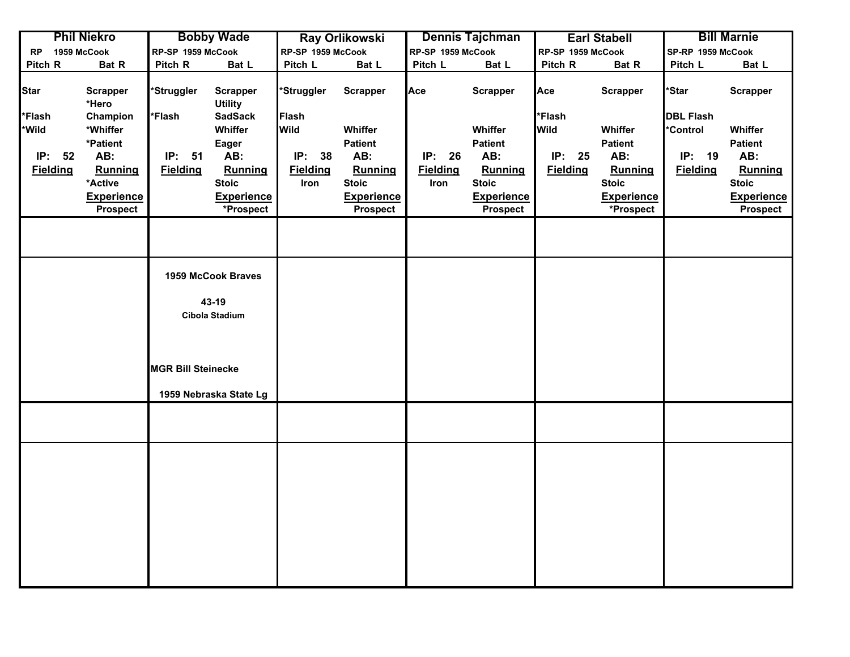|              | <b>Phil Niekro</b>                |                           | <b>Bobby Wade</b>                 |                   | <b>Ray Orlikowski</b> |                   | Dennis Tajchman   |                   | <b>Earl Stabell</b> |                   | <b>Bill Marnie</b> |
|--------------|-----------------------------------|---------------------------|-----------------------------------|-------------------|-----------------------|-------------------|-------------------|-------------------|---------------------|-------------------|--------------------|
| <b>RP</b>    | 1959 McCook                       | RP-SP 1959 McCook         |                                   | RP-SP 1959 McCook |                       | RP-SP 1959 McCook |                   | RP-SP 1959 McCook |                     | SP-RP 1959 McCook |                    |
| Pitch R      | Bat R                             | Pitch R                   | Bat L                             | Pitch L           | Bat L                 | Pitch L           | Bat L             | Pitch R           | Bat R               | Pitch L           | Bat L              |
| <b>Star</b>  | <b>Scrapper</b><br>*Hero          | 'Struggler                | <b>Scrapper</b><br><b>Utility</b> | *Struggler        | <b>Scrapper</b>       | Ace               | <b>Scrapper</b>   | Ace               | <b>Scrapper</b>     | <b>Star</b>       | <b>Scrapper</b>    |
| <b>Flash</b> | Champion                          | <b>Flash</b>              | <b>SadSack</b>                    | <b>Flash</b>      |                       |                   |                   | *Flash            |                     | <b>DBL Flash</b>  |                    |
| <b>Wild</b>  | *Whiffer                          |                           | Whiffer                           | <b>Wild</b>       | Whiffer               |                   | Whiffer           | <b>Wild</b>       | Whiffer             | <b>Control</b>    | Whiffer            |
|              | *Patient                          |                           | Eager                             |                   | <b>Patient</b>        |                   | <b>Patient</b>    |                   | <b>Patient</b>      |                   | <b>Patient</b>     |
|              | IP: 52<br>AB:                     | <b>IP: 51</b>             | AB:                               | <b>IP: 38</b>     | AB:                   | IP: 26            | AB:               | IP: 25            | AB:                 | IP: 19            | AB:                |
|              | <b>Fielding</b><br><b>Running</b> | <b>Fielding</b>           | Running                           | <b>Fielding</b>   | Running               | <b>Fielding</b>   | Running           | <b>Fielding</b>   | Running             | <b>Fielding</b>   | Running            |
|              | *Active                           |                           | <b>Stoic</b>                      | Iron              | <b>Stoic</b>          | Iron              | <b>Stoic</b>      |                   | <b>Stoic</b>        |                   | <b>Stoic</b>       |
|              | <b>Experience</b>                 |                           | <b>Experience</b>                 |                   | <b>Experience</b>     |                   | <b>Experience</b> |                   | <b>Experience</b>   |                   | <b>Experience</b>  |
|              | <b>Prospect</b>                   |                           | *Prospect                         |                   | <b>Prospect</b>       |                   | <b>Prospect</b>   |                   | *Prospect           |                   | <b>Prospect</b>    |
|              |                                   |                           |                                   |                   |                       |                   |                   |                   |                     |                   |                    |
|              |                                   |                           | 1959 McCook Braves                |                   |                       |                   |                   |                   |                     |                   |                    |
|              |                                   |                           | 43-19                             |                   |                       |                   |                   |                   |                     |                   |                    |
|              |                                   |                           | Cibola Stadium                    |                   |                       |                   |                   |                   |                     |                   |                    |
|              |                                   |                           |                                   |                   |                       |                   |                   |                   |                     |                   |                    |
|              |                                   |                           |                                   |                   |                       |                   |                   |                   |                     |                   |                    |
|              |                                   |                           |                                   |                   |                       |                   |                   |                   |                     |                   |                    |
|              |                                   | <b>MGR Bill Steinecke</b> |                                   |                   |                       |                   |                   |                   |                     |                   |                    |
|              |                                   |                           |                                   |                   |                       |                   |                   |                   |                     |                   |                    |
|              |                                   |                           | 1959 Nebraska State Lg            |                   |                       |                   |                   |                   |                     |                   |                    |
|              |                                   |                           |                                   |                   |                       |                   |                   |                   |                     |                   |                    |
|              |                                   |                           |                                   |                   |                       |                   |                   |                   |                     |                   |                    |
|              |                                   |                           |                                   |                   |                       |                   |                   |                   |                     |                   |                    |
|              |                                   |                           |                                   |                   |                       |                   |                   |                   |                     |                   |                    |
|              |                                   |                           |                                   |                   |                       |                   |                   |                   |                     |                   |                    |
|              |                                   |                           |                                   |                   |                       |                   |                   |                   |                     |                   |                    |
|              |                                   |                           |                                   |                   |                       |                   |                   |                   |                     |                   |                    |
|              |                                   |                           |                                   |                   |                       |                   |                   |                   |                     |                   |                    |
|              |                                   |                           |                                   |                   |                       |                   |                   |                   |                     |                   |                    |
|              |                                   |                           |                                   |                   |                       |                   |                   |                   |                     |                   |                    |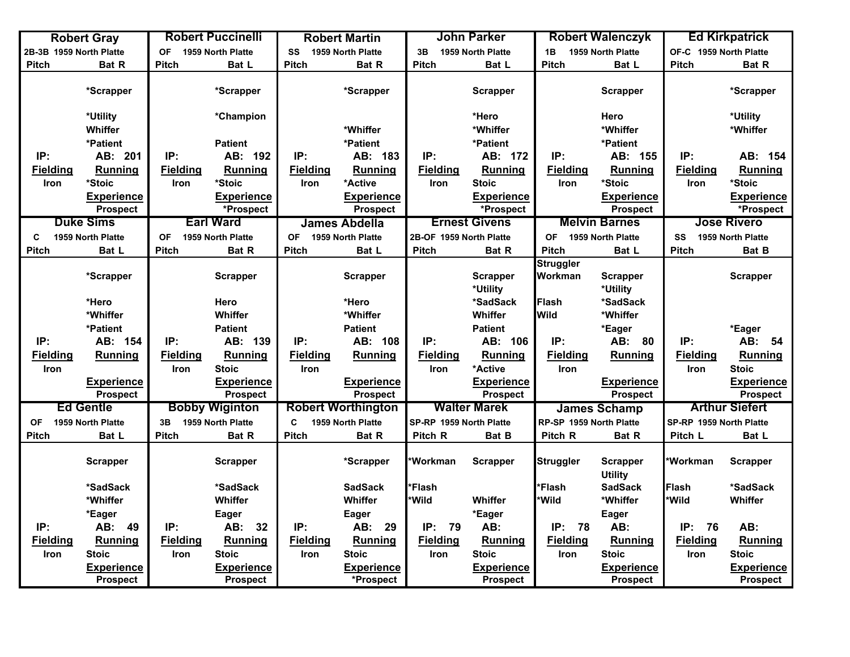|                         | <b>Robert Gray</b>                   |                 | <b>Robert Puccinelli</b>             |                 | <b>Robert Martin</b>                 |                         | <b>John Parker</b>                   |                         | <b>Robert Walenczyk</b>              |                         | <b>Ed Kirkpatrick</b>                |
|-------------------------|--------------------------------------|-----------------|--------------------------------------|-----------------|--------------------------------------|-------------------------|--------------------------------------|-------------------------|--------------------------------------|-------------------------|--------------------------------------|
| 2B-3B 1959 North Platte |                                      | <b>OF</b>       | 1959 North Platte                    | SS              | 1959 North Platte                    | 3B                      | 1959 North Platte                    | 1B                      | 1959 North Platte                    | OF-C 1959 North Platte  |                                      |
| Pitch                   | <b>Bat R</b>                         | <b>Pitch</b>    | Bat L                                | <b>Pitch</b>    | <b>Bat R</b>                         | <b>Pitch</b>            | Bat L                                | <b>Pitch</b>            | Bat L                                | Pitch                   | <b>Bat R</b>                         |
|                         | *Scrapper                            |                 | *Scrapper                            |                 | *Scrapper                            |                         | <b>Scrapper</b>                      |                         | <b>Scrapper</b>                      |                         | *Scrapper                            |
|                         | *Utility                             |                 | *Champion                            |                 |                                      |                         | *Hero                                |                         | Hero                                 |                         | *Utility                             |
|                         | Whiffer                              |                 |                                      |                 | *Whiffer                             |                         | *Whiffer                             |                         | *Whiffer                             |                         | *Whiffer                             |
|                         | *Patient                             |                 | <b>Patient</b>                       |                 | *Patient                             |                         | *Patient                             |                         | *Patient                             |                         |                                      |
| IP:                     | AB: 201                              | IP:             | AB: 192                              | IP:             | AB: 183                              | IP:                     | AB: 172                              | IP:                     | AB: 155                              | IP:                     | AB: 154                              |
| <b>Fielding</b>         | Running                              | <b>Fielding</b> | <b>Running</b>                       | <b>Fielding</b> | <b>Running</b>                       | <b>Fielding</b>         | Running                              | <b>Fielding</b>         | Running                              | <b>Fielding</b>         | <b>Running</b>                       |
| <b>Iron</b>             | *Stoic                               | <b>Iron</b>     | *Stoic                               | <b>Iron</b>     | *Active                              | <b>Iron</b>             | <b>Stoic</b>                         | <b>Iron</b>             | *Stoic                               | <b>Iron</b>             | *Stoic                               |
|                         | <b>Experience</b>                    |                 | <b>Experience</b>                    |                 | <b>Experience</b>                    |                         | <b>Experience</b>                    |                         | <b>Experience</b>                    |                         | <b>Experience</b>                    |
|                         | <b>Prospect</b>                      |                 | *Prospect                            |                 | <b>Prospect</b>                      |                         | *Prospect                            |                         | Prospect                             |                         | *Prospect                            |
|                         | <b>Duke Sims</b>                     |                 | <b>Earl Ward</b>                     |                 | <b>James Abdella</b>                 |                         | <b>Ernest Givens</b>                 |                         | <b>Melvin Barnes</b>                 |                         | <b>Jose Rivero</b>                   |
| C                       | 1959 North Platte                    | OF              | 1959 North Platte                    | <b>OF</b>       | 1959 North Platte                    | 2B-OF 1959 North Platte |                                      | OF 1959 North Platte    |                                      | SS                      | 1959 North Platte                    |
| <b>Pitch</b>            | Bat L                                | <b>Pitch</b>    | Bat R                                | <b>Pitch</b>    | Bat L                                | Pitch                   | Bat R                                | <b>Pitch</b>            | Bat L                                | Pitch                   | Bat B                                |
|                         |                                      |                 |                                      |                 |                                      |                         |                                      | <b>Struggler</b>        |                                      |                         |                                      |
|                         | *Scrapper                            |                 | <b>Scrapper</b>                      |                 | <b>Scrapper</b>                      |                         | <b>Scrapper</b>                      | Workman                 | <b>Scrapper</b>                      |                         | <b>Scrapper</b>                      |
|                         |                                      |                 |                                      |                 |                                      |                         | *Utility                             |                         | *Utility                             |                         |                                      |
|                         | *Hero                                |                 | Hero                                 |                 | *Hero                                |                         | *SadSack                             | Flash                   | *SadSack                             |                         |                                      |
|                         | *Whiffer                             |                 | Whiffer                              |                 | *Whiffer                             |                         | Whiffer                              | <b>Wild</b>             | *Whiffer                             |                         |                                      |
|                         | *Patient                             |                 | <b>Patient</b>                       |                 | <b>Patient</b>                       |                         | <b>Patient</b>                       |                         | *Eager                               |                         | *Eager                               |
| IP:                     | AB: 154                              | IP:             | AB: 139                              | IP:             | AB: 108                              | IP:                     | AB: 106                              | IP:                     | AB: 80                               | IP:                     | AB: 54                               |
| <b>Fielding</b>         | <b>Running</b>                       | <b>Fielding</b> | Running                              | <b>Fielding</b> | <b>Running</b>                       | <b>Fielding</b>         | Running                              | <b>Fielding</b>         | Running                              | <b>Fielding</b>         | <b>Running</b>                       |
| Iron                    |                                      | Iron            | <b>Stoic</b>                         | Iron            |                                      | <b>Iron</b>             | *Active                              | Iron                    |                                      | Iron                    | <b>Stoic</b>                         |
|                         | <b>Experience</b><br><b>Prospect</b> |                 | <b>Experience</b><br><b>Prospect</b> |                 | <b>Experience</b><br><b>Prospect</b> |                         | <b>Experience</b><br><b>Prospect</b> |                         | <b>Experience</b><br><b>Prospect</b> |                         | <b>Experience</b><br><b>Prospect</b> |
|                         | <b>Ed Gentle</b>                     |                 | <b>Bobby Wiginton</b>                |                 | <b>Robert Worthington</b>            |                         | <b>Walter Marek</b>                  |                         | <b>James Schamp</b>                  |                         | <b>Arthur Siefert</b>                |
| <b>OF</b>               | 1959 North Platte                    | 3B              | 1959 North Platte                    | C               | 1959 North Platte                    | SP-RP 1959 North Platte |                                      | RP-SP 1959 North Platte |                                      | SP-RP 1959 North Platte |                                      |
| <b>Pitch</b>            | Bat L                                | Pitch           | Bat R                                | <b>Pitch</b>    | Bat R                                | Pitch R                 | Bat B                                | Pitch R                 | <b>Bat R</b>                         | Pitch L                 | Bat L                                |
|                         | <b>Scrapper</b>                      |                 | <b>Scrapper</b>                      |                 | *Scrapper                            | *Workman                | <b>Scrapper</b>                      | <b>Struggler</b>        | <b>Scrapper</b><br><b>Utility</b>    | *Workman                | <b>Scrapper</b>                      |
|                         | *SadSack                             |                 | *SadSack                             |                 | <b>SadSack</b>                       | *Flash                  |                                      | *Flash                  | <b>SadSack</b>                       | <b>Flash</b>            | *SadSack                             |
|                         | *Whiffer                             |                 | Whiffer                              |                 | Whiffer                              | *Wild                   | Whiffer                              | *Wild                   | *Whiffer                             | *Wild                   | Whiffer                              |
|                         | *Eager                               |                 | <b>Eager</b>                         |                 | Eager                                |                         | *Eager                               |                         | <b>Eager</b>                         |                         |                                      |
| IP:                     | AB: 49                               | IP:             | AB:<br>32                            | IP:             | AB: 29                               | IP:<br>79               | AB:                                  | IP:<br>78               | AB:                                  | IP: 76                  | AB:                                  |
| <b>Fielding</b>         | Running                              | <b>Fielding</b> | <b>Running</b>                       | <b>Fielding</b> | Running                              | <b>Fielding</b>         | Running                              | <b>Fielding</b>         | Running                              | <b>Fielding</b>         | Running                              |
| Iron                    | <b>Stoic</b>                         | Iron            | <b>Stoic</b>                         | Iron            | <b>Stoic</b>                         | Iron                    | <b>Stoic</b>                         | Iron                    | <b>Stoic</b>                         | Iron                    | <b>Stoic</b>                         |
|                         | <b>Experience</b>                    |                 | <b>Experience</b>                    |                 | <b>Experience</b>                    |                         | <b>Experience</b>                    |                         | <b>Experience</b>                    |                         | <b>Experience</b>                    |
|                         | <b>Prospect</b>                      |                 | <b>Prospect</b>                      |                 | *Prospect                            |                         | <b>Prospect</b>                      |                         | <b>Prospect</b>                      |                         | <b>Prospect</b>                      |